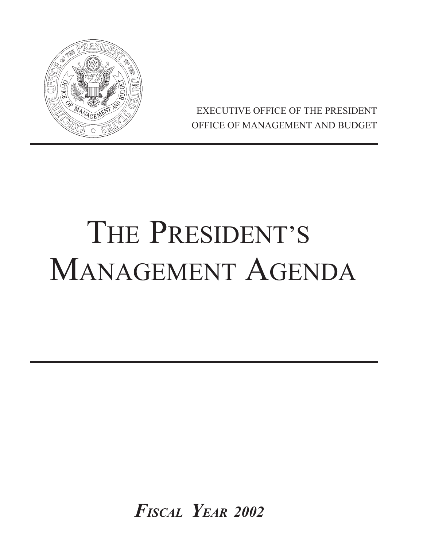

EXECUTIVE OFFICE OF THE PRESIDENT OFFICE OF MANAGEMENT AND BUDGET

# THE PRESIDENT'S MANAGEMENT AGENDA

*FISCAL YEAR 2002*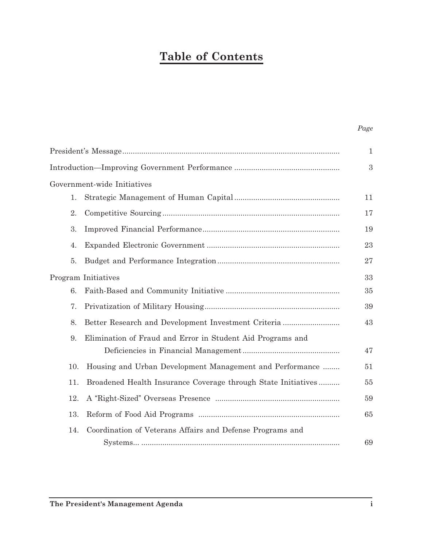### **Table of Contents**

| ٠. |
|----|
|----|

|                     |                                                               | $\mathbf{1}$ |  |  |
|---------------------|---------------------------------------------------------------|--------------|--|--|
|                     |                                                               | 3            |  |  |
|                     | Government-wide Initiatives                                   |              |  |  |
| 1.                  |                                                               | 11           |  |  |
| 2.                  |                                                               | 17           |  |  |
| 3.                  |                                                               | 19           |  |  |
| 4.                  |                                                               | 23           |  |  |
| 5.                  |                                                               | 27           |  |  |
| Program Initiatives |                                                               |              |  |  |
| 6.                  |                                                               | 35           |  |  |
| 7.                  |                                                               | 39           |  |  |
| 8.                  | Better Research and Development Investment Criteria           | 43           |  |  |
| 9.                  | Elimination of Fraud and Error in Student Aid Programs and    |              |  |  |
|                     |                                                               | 47           |  |  |
| 10.                 | Housing and Urban Development Management and Performance      | 51           |  |  |
| 11.                 | Broadened Health Insurance Coverage through State Initiatives | 55           |  |  |
| 12.                 |                                                               | 59           |  |  |
| 13.                 |                                                               | 65           |  |  |
| 14.                 | Coordination of Veterans Affairs and Defense Programs and     |              |  |  |
|                     |                                                               | 69           |  |  |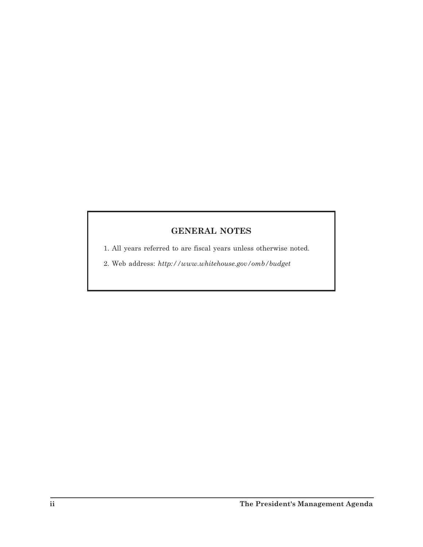### **GENERAL NOTES**

1. All years referred to are fiscal years unless otherwise noted.

2. Web address: *<http://www.whitehouse.gov/omb/budget>*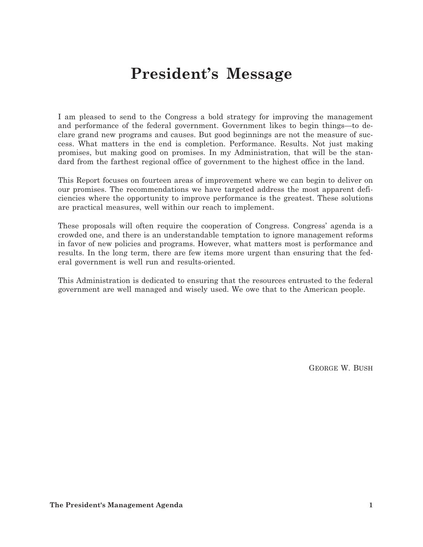## **President's Message**

I am pleased to send to the Congress a bold strategy for improving the management and performance of the federal government. Government likes to begin things—to declare grand new programs and causes. But good beginnings are not the measure of success. What matters in the end is completion. Performance. Results. Not just making promises, but making good on promises. In my Administration, that will be the standard from the farthest regional office of government to the highest office in the land.

This Report focuses on fourteen areas of improvement where we can begin to deliver on our promises. The recommendations we have targeted address the most apparent deficiencies where the opportunity to improve performance is the greatest. These solutions are practical measures, well within our reach to implement.

These proposals will often require the cooperation of Congress. Congress' agenda is a crowded one, and there is an understandable temptation to ignore management reforms in favor of new policies and programs. However, what matters most is performance and results. In the long term, there are few items more urgent than ensuring that the federal government is well run and results-oriented.

This Administration is dedicated to ensuring that the resources entrusted to the federal government are well managed and wisely used. We owe that to the American people.

GEORGE W. BUSH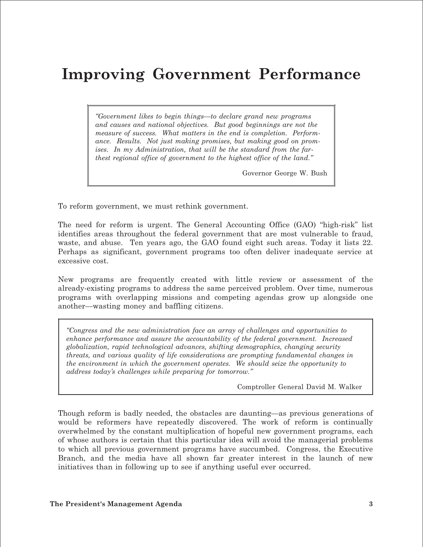### **Improving Government Performance**

*"Government likes to begin things—to declare grand new programs and causes and national objectives. But good beginnings are not the measure of success. What matters in the end is completion. Performance. Results. Not just making promises, but making good on promises. In my Administration, that will be the standard from the farthest regional office of government to the highest office of the land."* 

Governor George W. Bush

To reform government, we must rethink government.

The need for reform is urgent. The General Accounting Office (GAO) "high-risk" list identifies areas throughout the federal government that are most vulnerable to fraud, waste, and abuse. Ten years ago, the GAO found eight such areas. Today it lists 22. Perhaps as significant, government programs too often deliver inadequate service at excessive cost.

New programs are frequently created with little review or assessment of the already-existing programs to address the same perceived problem. Over time, numerous programs with overlapping missions and competing agendas grow up alongside one another—wasting money and baffling citizens.

*"Congress and the new administration face an array of challenges and opportunities to enhance performance and assure the accountability of the federal government. Increased globalization, rapid technological advances, shifting demographics, changing security threats, and various quality of life considerations are prompting fundamental changes in the environment in which the government operates. We should seize the opportunity to address today's challenges while preparing for tomorrow."* 

Comptroller General David M. Walker

Though reform is badly needed, the obstacles are daunting—as previous generations of would be reformers have repeatedly discovered. The work of reform is continually overwhelmed by the constant multiplication of hopeful new government programs, each of whose authors is certain that this particular idea will avoid the managerial problems to which all previous government programs have succumbed. Congress, the Executive Branch, and the media have all shown far greater interest in the launch of new initiatives than in following up to see if anything useful ever occurred.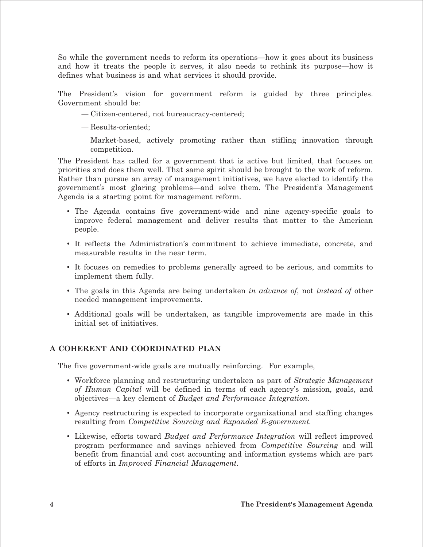So while the government needs to reform its operations—how it goes about its business and how it treats the people it serves, it also needs to rethink its purpose—how it defines what business is and what services it should provide.

The President's vision for government reform is guided by three principles. Government should be:

- Citizen-centered, not bureaucracy-centered;
- Results-oriented;
- Market-based, actively promoting rather than stifling innovation through competition.

The President has called for a government that is active but limited, that focuses on priorities and does them well. That same spirit should be brought to the work of reform. Rather than pursue an array of management initiatives, we have elected to identify the government's most glaring problems—and solve them. The President's Management Agenda is a starting point for management reform.

- The Agenda contains five government-wide and nine agency-specific goals to improve federal management and deliver results that matter to the American people.
- • It reflects the Administration's commitment to achieve immediate, concrete, and measurable results in the near term.
- • It focuses on remedies to problems generally agreed to be serious, and commits to implement them fully.
- • The goals in this Agenda are being undertaken *in advance of*, not *instead of* other needed management improvements.
- • Additional goals will be undertaken, as tangible improvements are made in this initial set of initiatives.

#### **A COHERENT AND COORDINATED PLAN**

The five government-wide goals are mutually reinforcing. For example,

- • Workforce planning and restructuring undertaken as part of *Strategic Management of Human Capital* will be defined in terms of each agency's mission, goals, and objectives—a key element of *Budget and Performance Integration*.
- Agency restructuring is expected to incorporate organizational and staffing changes resulting from *Competitive Sourcing and Expanded E-government.*
- • Likewise, efforts toward *Budget and Performance Integration* will reflect improved program performance and savings achieved from *Competitive Sourcing* and will benefit from financial and cost accounting and information systems which are part of efforts in *Improved Financial Management*.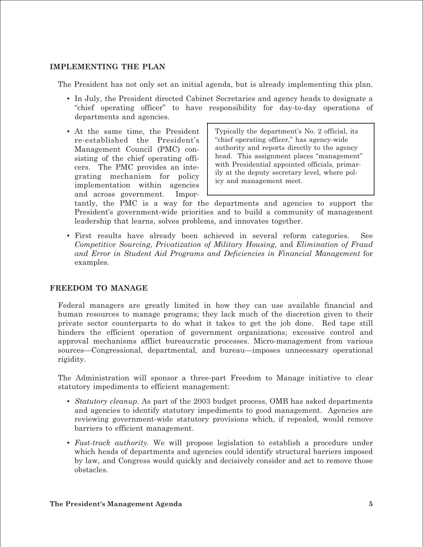#### **IMPLEMENTING THE PLAN**

The President has not only set an initial agenda, but is already implementing this plan.

- In July, the President directed Cabinet Secretaries and agency heads to designate a "chief operating officer" to have responsibility for day-to-day operations of departments and agencies.
- At the same time, the President re-established the President's Management Council (PMC) consisting of the chief operating officers. The PMC provides an integrating mechanism for policy implementation within agencies and across government. Impor-

Typically the department's No. 2 official, its "chief operating officer," has agency-wide authority and reports directly to the agency head. This assignment places "management" with Presidential appointed officials, primarily at the deputy secretary level, where policy and management meet.

tantly, the PMC is a way for the departments and agencies to support the President's government-wide priorities and to build a community of management leadership that learns, solves problems, and innovates together.

• First results have already been achieved in several reform categories. See *Competitive Sourcing, Privatization of Military Housing,* and *Elimination of Fraud and Error in Student Aid Programs and Deficiencies in Financial Management* for examples.

#### **FREEDOM TO MANAGE**

Federal managers are greatly limited in how they can use available financial and human resources to manage programs; they lack much of the discretion given to their private sector counterparts to do what it takes to get the job done. Red tape still hinders the efficient operation of government organizations; excessive control and approval mechanisms afflict bureaucratic processes. Micro-management from various sources—Congressional, departmental, and bureau—imposes unnecessary operational rigidity.

The Administration will sponsor a three-part Freedom to Manage initiative to clear statutory impediments to efficient management:

- *Statutory cleanup.* As part of the 2003 budget process, OMB has asked departments and agencies to identify statutory impediments to good management. Agencies are reviewing government-wide statutory provisions which, if repealed, would remove barriers to efficient management.
- *Fast-track authority.* We will propose legislation to establish a procedure under which heads of departments and agencies could identify structural barriers imposed by law, and Congress would quickly and decisively consider and act to remove those obstacles.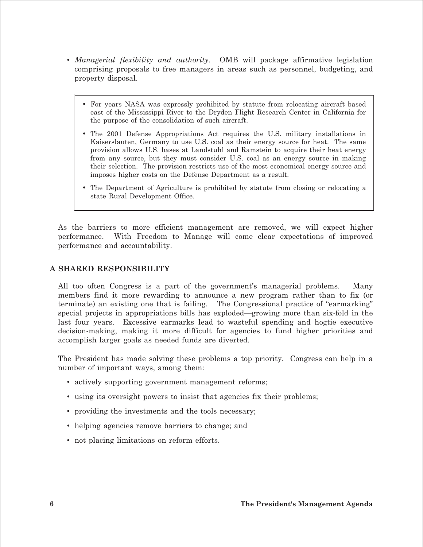- *Managerial flexibility and authority*. OMB will package affirmative legislation comprising proposals to free managers in areas such as personnel, budgeting, and property disposal.
	- For years NASA was expressly prohibited by statute from relocating aircraft based east of the Mississippi River to the Dryden Flight Research Center in California for the purpose of the consolidation of such aircraft.
	- The 2001 Defense Appropriations Act requires the U.S. military installations in Kaiserslauten, Germany to use U.S. coal as their energy source for heat. The same provision allows U.S. bases at Landstuhl and Ramstein to acquire their heat energy from any source, but they must consider U.S. coal as an energy source in making their selection. The provision restricts use of the most economical energy source and imposes higher costs on the Defense Department as a result.
	- The Department of Agriculture is prohibited by statute from closing or relocating a state Rural Development Office.

As the barriers to more efficient management are removed, we will expect higher performance. With Freedom to Manage will come clear expectations of improved performance and accountability.

#### **A SHARED RESPONSIBILITY**

All too often Congress is a part of the government's managerial problems. Many members find it more rewarding to announce a new program rather than to fix (or terminate) an existing one that is failing. The Congressional practice of "earmarking" special projects in appropriations bills has exploded—growing more than six-fold in the last four years. Excessive earmarks lead to wasteful spending and hogtie executive decision-making, making it more difficult for agencies to fund higher priorities and accomplish larger goals as needed funds are diverted.

The President has made solving these problems a top priority. Congress can help in a number of important ways, among them:

- actively supporting government management reforms;
- using its oversight powers to insist that agencies fix their problems;
- providing the investments and the tools necessary;
- helping agencies remove barriers to change; and
- not placing limitations on reform efforts.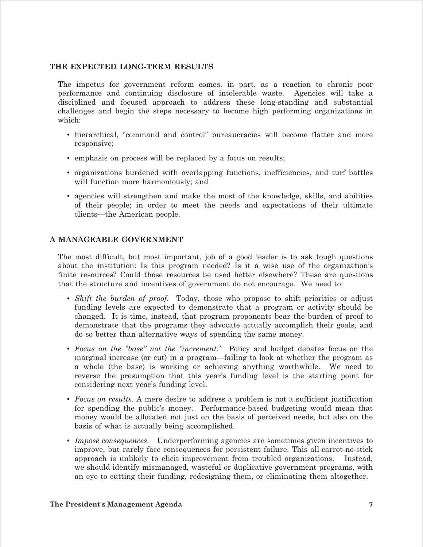#### **THE EXPECTED LONG-TERM RESULTS**

The impetus for government reform comes, in part, as a reaction to chronic poor performance and continuing disclosure of intolerable waste. Agencies will take a disciplined and focused approach to address these long-standing and substantial challenges and begin the steps necessary to become high performing organizations in which:

- hierarchical, "command and control" bureaucracies will become flatter and more responsive;
- emphasis on process will be replaced by a focus on results;
- • organizations burdened with overlapping functions, inefficiencies, and turf battles will function more harmoniously; and
- • agencies will strengthen and make the most of the knowledge, skills, and abilities of their people; in order to meet the needs and expectations of their ultimate clients—the American people.

#### **A MANAGEABLE GOVERNMENT**

The most difficult, but most important, job of a good leader is to ask tough questions about the institution: Is this program needed? Is it a wise use of the organization's finite resources? Could those resources be used better elsewhere? These are questions that the structure and incentives of government do not encourage. We need to:

- • *Shift the burden of proof*. Today, those who propose to shift priorities or adjust funding levels are expected to demonstrate that a program or activity should be changed. It is time, instead, that program proponents bear the burden of proof to demonstrate that the programs they advocate actually accomplish their goals, and do so better than alternative ways of spending the same money.
- • *Focus on the "base" not the "increment."* Policy and budget debates focus on the marginal increase (or cut) in a program—failing to look at whether the program as a whole (the base) is working or achieving anything worthwhile. We need to reverse the presumption that this year's funding level is the starting point for considering next year's funding level.
- *Focus on results.* A mere desire to address a problem is not a sufficient justification for spending the public's money. Performance-based budgeting would mean that money would be allocated not just on the basis of perceived needs, but also on the basis of what is actually being accomplished.
- • *Impose consequences.* Underperforming agencies are sometimes given incentives to improve, but rarely face consequences for persistent failure. This all-carrot-no-stick approach is unlikely to elicit improvement from troubled organizations. Instead, we should identify mismanaged, wasteful or duplicative government programs, with an eye to cutting their funding, redesigning them, or eliminating them altogether.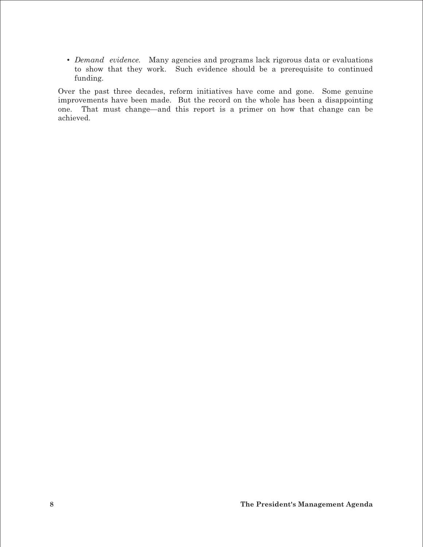• *Demand evidence.* Many agencies and programs lack rigorous data or evaluations to show that they work. Such evidence should be a prerequisite to continued funding.

Over the past three decades, reform initiatives have come and gone. Some genuine improvements have been made. But the record on the whole has been a disappointing one. That must change—and this report is a primer on how that change can be achieved.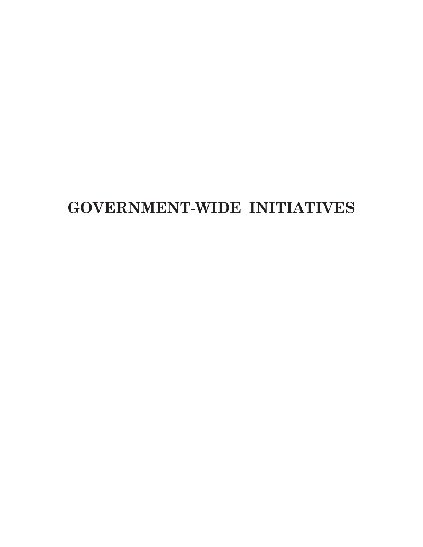# **GOVERNMENT-WIDE INITIATIVES**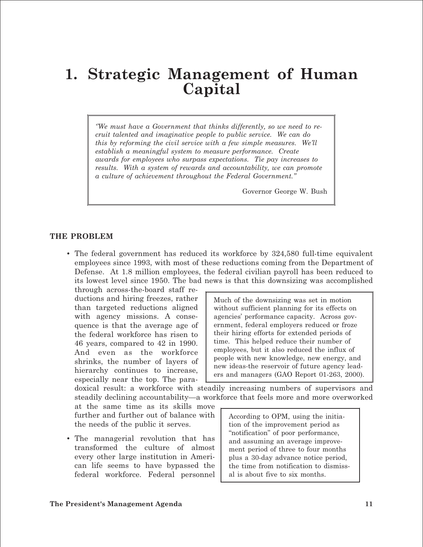### **1. Strategic Management of Human Capital**

*''We must have a Government that thinks differently, so we need to recruit talented and imaginative people to public service. We can do this by reforming the civil service with a few simple measures. We'll establish a meaningful system to measure performance. Create awards for employees who surpass expectations. Tie pay increases to results. With a system of rewards and accountability, we can promote a culture of achievement throughout the Federal Government.''* 

Governor George W. Bush

#### **THE PROBLEM**

• The federal government has reduced its workforce by 324,580 full-time equivalent employees since 1993, with most of these reductions coming from the Department of Defense. At 1.8 million employees, the federal civilian payroll has been reduced to its lowest level since 1950. The bad news is that this downsizing was accomplished

through across-the-board staff reductions and hiring freezes, rather than targeted reductions aligned with agency missions. A consequence is that the average age of the federal workforce has risen to 46 years, compared to 42 in 1990. And even as the workforce shrinks, the number of layers of hierarchy continues to increase, especially near the top. The para-

Much of the downsizing was set in motion without sufficient planning for its effects on agencies' performance capacity. Across government, federal employers reduced or froze their hiring efforts for extended periods of time. This helped reduce their number of employees, but it also reduced the influx of people with new knowledge, new energy, and new ideas-the reservoir of future agency leaders and managers (GAO Report 01-263, 2000).

doxical result: a workforce with steadily increasing numbers of supervisors and steadily declining accountability—a workforce that feels more and more overworked

at the same time as its skills move further and further out of balance with the needs of the public it serves.

• The managerial revolution that has transformed the culture of almost every other large institution in American life seems to have bypassed the federal workforce. Federal personnel According to OPM, using the initiation of the improvement period as "notification" of poor performance, and assuming an average improvement period of three to four months plus a 30-day advance notice period, the time from notification to dismissal is about five to six months.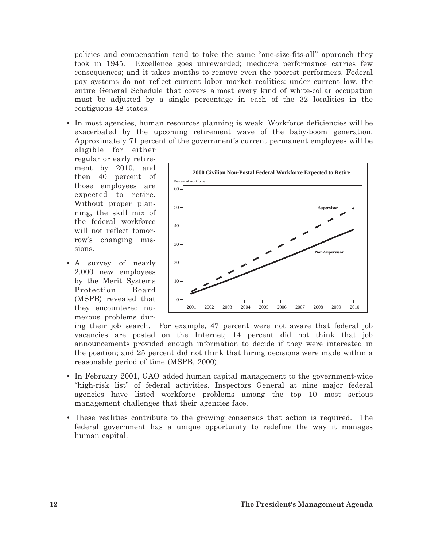policies and compensation tend to take the same "one-size-fits-all" approach they took in 1945. Excellence goes unrewarded; mediocre performance carries few consequences; and it takes months to remove even the poorest performers. Federal pay systems do not reflect current labor market realities: under current law, the entire General Schedule that covers almost every kind of white-collar occupation must be adjusted by a single percentage in each of the 32 localities in the contiguous 48 states.

• In most agencies, human resources planning is weak. Workforce deficiencies will be exacerbated by the upcoming retirement wave of the baby-boom generation. Approximately 71 percent of the government's current permanent employees will be

eligible for either regular or early retirement by 2010, and then 40 percent of those employees are expected to retire. Without proper planning, the skill mix of the federal workforce will not reflect tomorrow's changing missions.

• A survey of nearly 2,000 new employees by the Merit Systems Protection Board (MSPB) revealed that they encountered numerous problems dur-



ing their job search. For example, 47 percent were not aware that federal job vacancies are posted on the Internet; 14 percent did not think that job announcements provided enough information to decide if they were interested in the position; and 25 percent did not think that hiring decisions were made within a reasonable period of time (MSPB, 2000).

- In February 2001, GAO added human capital management to the government-wide "high-risk list" of federal activities. Inspectors General at nine major federal agencies have listed workforce problems among the top 10 most serious management challenges that their agencies face.
- These realities contribute to the growing consensus that action is required. The federal government has a unique opportunity to redefine the way it manages human capital.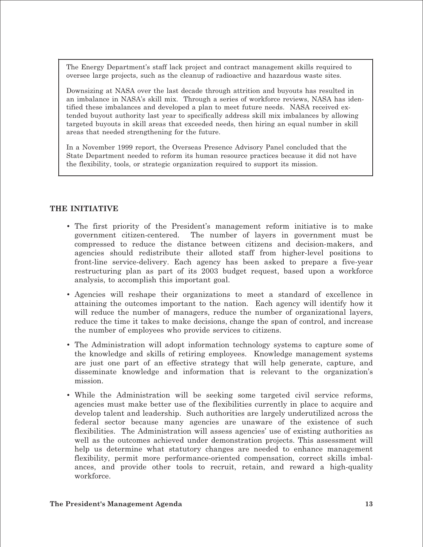The Energy Department's staff lack project and contract management skills required to oversee large projects, such as the cleanup of radioactive and hazardous waste sites.

Downsizing at NASA over the last decade through attrition and buyouts has resulted in an imbalance in NASA's skill mix. Through a series of workforce reviews, NASA has identified these imbalances and developed a plan to meet future needs. NASA received extended buyout authority last year to specifically address skill mix imbalances by allowing targeted buyouts in skill areas that exceeded needs, then hiring an equal number in skill areas that needed strengthening for the future.

In a November 1999 report, the Overseas Presence Advisory Panel concluded that the State Department needed to reform its human resource practices because it did not have the flexibility, tools, or strategic organization required to support its mission.

#### **THE INITIATIVE**

- The first priority of the President's management reform initiative is to make government citizen-centered. The number of layers in government must be compressed to reduce the distance between citizens and decision-makers, and agencies should redistribute their alloted staff from higher-level positions to front-line service-delivery. Each agency has been asked to prepare a five-year restructuring plan as part of its 2003 budget request, based upon a workforce analysis, to accomplish this important goal.
- Agencies will reshape their organizations to meet a standard of excellence in attaining the outcomes important to the nation. Each agency will identify how it will reduce the number of managers, reduce the number of organizational layers, reduce the time it takes to make decisions, change the span of control, and increase the number of employees who provide services to citizens.
- The Administration will adopt information technology systems to capture some of the knowledge and skills of retiring employees. Knowledge management systems are just one part of an effective strategy that will help generate, capture, and disseminate knowledge and information that is relevant to the organization's mission.
- While the Administration will be seeking some targeted civil service reforms, agencies must make better use of the flexibilities currently in place to acquire and develop talent and leadership. Such authorities are largely underutilized across the federal sector because many agencies are unaware of the existence of such flexibilities. The Administration will assess agencies' use of existing authorities as well as the outcomes achieved under demonstration projects. This assessment will help us determine what statutory changes are needed to enhance management flexibility, permit more performance-oriented compensation, correct skills imbalances, and provide other tools to recruit, retain, and reward a high-quality workforce.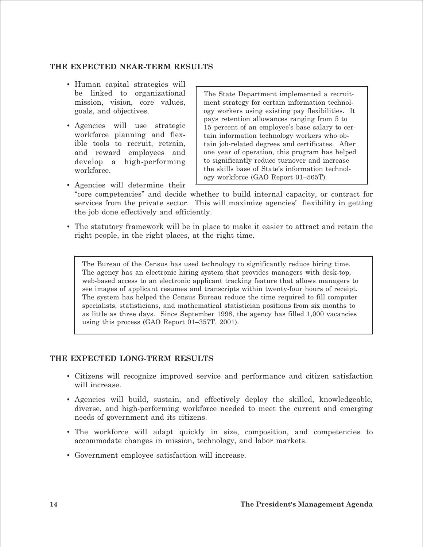#### **THE EXPECTED NEAR-TERM RESULTS**

- Human capital strategies will be linked to organizational mission, vision, core values, goals, and objectives.
- Agencies will use strategic workforce planning and flexible tools to recruit, retrain, and reward employees and develop a high-performing workforce.

The State Department implemented a recruitment strategy for certain information technology workers using existing pay flexibilities. It pays retention allowances ranging from 5 to 15 percent of an employee's base salary to certain information technology workers who obtain job-related degrees and certificates. After one year of operation, this program has helped to significantly reduce turnover and increase the skills base of State's information technology workforce (GAO Report 01–565T).

- Agencies will determine their "core competencies" and decide whether to build internal capacity, or contract for services from the private sector. This will maximize agencies' flexibility in getting the job done effectively and efficiently.
- The statutory framework will be in place to make it easier to attract and retain the right people, in the right places, at the right time.

The Bureau of the Census has used technology to significantly reduce hiring time. The agency has an electronic hiring system that provides managers with desk-top, web-based access to an electronic applicant tracking feature that allows managers to see images of applicant resumes and transcripts within twenty-four hours of receipt. The system has helped the Census Bureau reduce the time required to fill computer specialists, statisticians, and mathematical statistician positions from six months to as little as three days. Since September 1998, the agency has filled 1,000 vacancies using this process (GAO Report 01–357T, 2001).

#### **THE EXPECTED LONG-TERM RESULTS**

- Citizens will recognize improved service and performance and citizen satisfaction will increase.
- Agencies will build, sustain, and effectively deploy the skilled, knowledgeable, diverse, and high-performing workforce needed to meet the current and emerging needs of government and its citizens.
- The workforce will adapt quickly in size, composition, and competencies to accommodate changes in mission, technology, and labor markets.
- Government employee satisfaction will increase.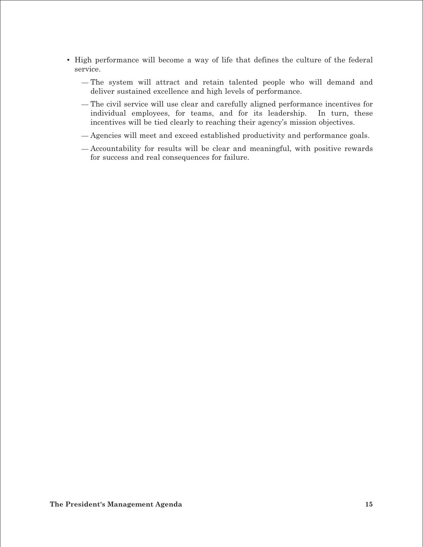- High performance will become a way of life that defines the culture of the federal service.
	- The system will attract and retain talented people who will demand and deliver sustained excellence and high levels of performance.
	- The civil service will use clear and carefully aligned performance incentives for individual employees, for teams, and for its leadership. In turn, these incentives will be tied clearly to reaching their agency's mission objectives.
	- Agencies will meet and exceed established productivity and performance goals.
	- Accountability for results will be clear and meaningful, with positive rewards for success and real consequences for failure.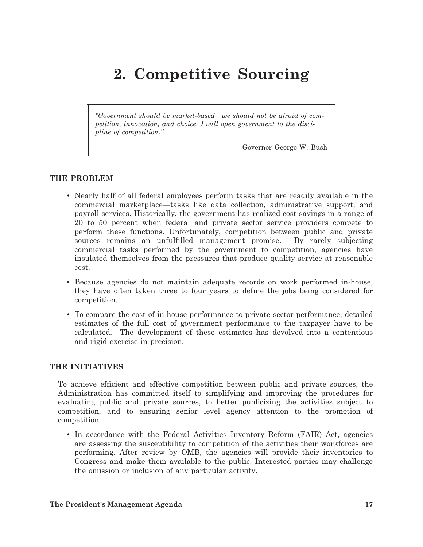# **2. Competitive Sourcing**

*"Government should be market-based—we should not be afraid of competition, innovation, and choice. I will open government to the discipline of competition."* 

Governor George W. Bush

#### **THE PROBLEM**

- Nearly half of all federal employees perform tasks that are readily available in the commercial marketplace—tasks like data collection, administrative support, and payroll services. Historically, the government has realized cost savings in a range of 20 to 50 percent when federal and private sector service providers compete to perform these functions. Unfortunately, competition between public and private sources remains an unfulfilled management promise. By rarely subjecting commercial tasks performed by the government to competition, agencies have insulated themselves from the pressures that produce quality service at reasonable cost.
- Because agencies do not maintain adequate records on work performed in-house, they have often taken three to four years to define the jobs being considered for competition.
- To compare the cost of in-house performance to private sector performance, detailed estimates of the full cost of government performance to the taxpayer have to be calculated. The development of these estimates has devolved into a contentious and rigid exercise in precision.

#### **THE INITIATIVES**

To achieve efficient and effective competition between public and private sources, the Administration has committed itself to simplifying and improving the procedures for evaluating public and private sources, to better publicizing the activities subject to competition, and to ensuring senior level agency attention to the promotion of competition.

• In accordance with the Federal Activities Inventory Reform (FAIR) Act, agencies are assessing the susceptibility to competition of the activities their workforces are performing. After review by OMB, the agencies will provide their inventories to Congress and make them available to the public. Interested parties may challenge the omission or inclusion of any particular activity.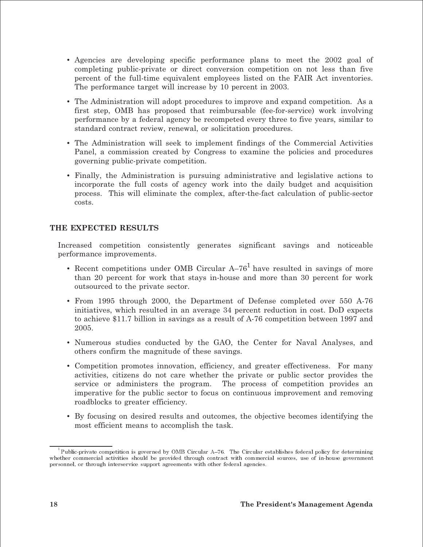- Agencies are developing specific performance plans to meet the 2002 goal of completing public-private or direct conversion competition on not less than five percent of the full-time equivalent employees listed on the FAIR Act inventories. The performance target will increase by 10 percent in 2003.
- The Administration will adopt procedures to improve and expand competition. As a first step, OMB has proposed that reimbursable (fee-for-service) work involving performance by a federal agency be recompeted every three to five years, similar to standard contract review, renewal, or solicitation procedures.
- The Administration will seek to implement findings of the Commercial Activities Panel, a commission created by Congress to examine the policies and procedures governing public-private competition.
- Finally, the Administration is pursuing administrative and legislative actions to incorporate the full costs of agency work into the daily budget and acquisition process. This will eliminate the complex, after-the-fact calculation of public-sector costs.

#### THE EXPECTED RESULTS

Increased competition consistently generates significant savings and noticeable performance improvements.

- Recent competitions under OMB Circular  $A-76<sup>1</sup>$  have resulted in savings of more than 20 percent for work that stays in-house and more than 30 percent for work outsourced to the private sector.
- From 1995 through 2000, the Department of Defense completed over 550 A-76 initiatives, which resulted in an average 34 percent reduction in cost. DoD expects to achieve \$11.7 billion in savings as a result of A-76 competition between 1997 and 2005.
- Numerous studies conducted by the GAO, the Center for Naval Analyses, and others confirm the magnitude of these savings.
- Competition promotes innovation, efficiency, and greater effectiveness. For many activities, citizens do not care whether the private or public sector provides the service or administers the program. The process of competition provides an imperative for the public sector to focus on continuous improvement and removing roadblocks to greater efficiency.
- By focusing on desired results and outcomes, the objective becomes identifying the most efficient means to accomplish the task.

Public-private competition is governed by OMB Circular A-76. The Circular establishes federal policy for determining whether commercial activities should be provided through contract with commercial sources, use of in-house government personnel, or through interservice support agreements with other federal agencies.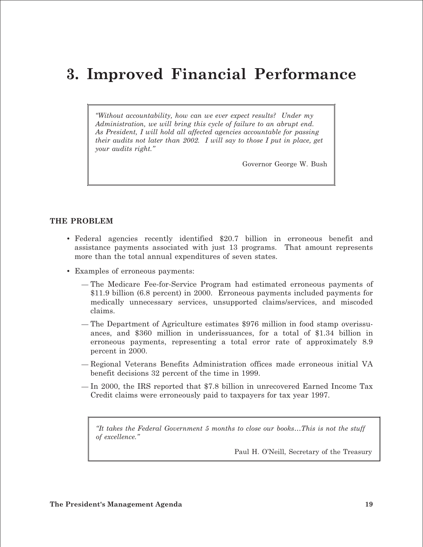# **3. Improved Financial Performance**

*"Without accountability, how can we ever expect results? Under my Administration, we will bring this cycle of failure to an abrupt end. As President, I will hold all affected agencies accountable for passing their audits not later than 2002. I will say to those I put in place, get your audits right."* 

Governor George W. Bush

#### **THE PROBLEM**

- Federal agencies recently identified \$20.7 billion in erroneous benefit and assistance payments associated with just 13 programs. That amount represents more than the total annual expenditures of seven states.
- Examples of erroneous payments:
	- The Medicare Fee-for-Service Program had estimated erroneous payments of \$11.9 billion (6.8 percent) in 2000. Erroneous payments included payments for medically unnecessary services, unsupported claims/services, and miscoded claims.
	- The Department of Agriculture estimates \$976 million in food stamp overissuances, and \$360 million in underissuances, for a total of \$1.34 billion in erroneous payments, representing a total error rate of approximately 8.9 percent in 2000.
	- Regional Veterans Benefits Administration offices made erroneous initial VA benefit decisions 32 percent of the time in 1999.
	- In 2000, the IRS reported that \$7.8 billion in unrecovered Earned Income Tax Credit claims were erroneously paid to taxpayers for tax year 1997.

*"It takes the Federal Government 5 months to close our books…This is not the stuff of excellence."* 

Paul H. O'Neill, Secretary of the Treasury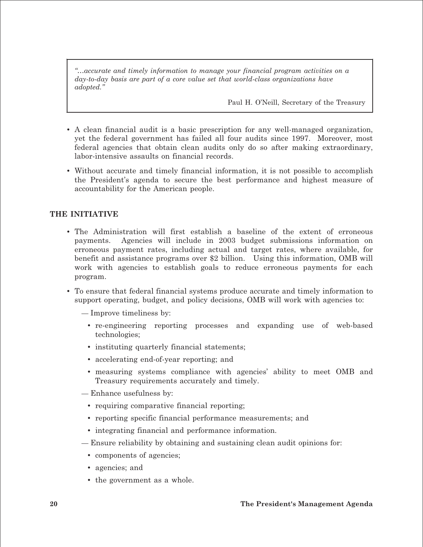*"…accurate and timely information to manage your financial program activities on a day-to-day basis are part of a core value set that world-class organizations have adopted."* 

Paul H. O'Neill, Secretary of the Treasury

- A clean financial audit is a basic prescription for any well-managed organization, yet the federal government has failed all four audits since 1997. Moreover, most federal agencies that obtain clean audits only do so after making extraordinary, labor-intensive assaults on financial records.
- Without accurate and timely financial information, it is not possible to accomplish the President's agenda to secure the best performance and highest measure of accountability for the American people.

#### **THE INITIATIVE**

- The Administration will first establish a baseline of the extent of erroneous payments. Agencies will include in 2003 budget submissions information on erroneous payment rates, including actual and target rates, where available, for benefit and assistance programs over \$2 billion. Using this information, OMB will work with agencies to establish goals to reduce erroneous payments for each program.
- To ensure that federal financial systems produce accurate and timely information to support operating, budget, and policy decisions, OMB will work with agencies to:
	- Improve timeliness by:
		- re-engineering reporting processes and expanding use of web-based technologies;
		- instituting quarterly financial statements;
		- accelerating end-of-year reporting; and
		- measuring systems compliance with agencies' ability to meet OMB and Treasury requirements accurately and timely.
	- Enhance usefulness by:
		- requiring comparative financial reporting;
		- reporting specific financial performance measurements; and
		- integrating financial and performance information.
	- Ensure reliability by obtaining and sustaining clean audit opinions for:
		- components of agencies;
		- agencies; and
		- the government as a whole.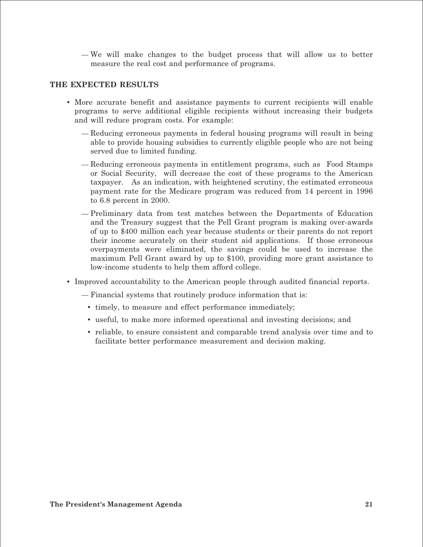— We will make changes to the budget process that will allow us to better measure the real cost and performance of programs.

#### **THE EXPECTED RESULTS**

- More accurate benefit and assistance payments to current recipients will enable programs to serve additional eligible recipients without increasing their budgets and will reduce program costs. For example:
	- Reducing erroneous payments in federal housing programs will result in being able to provide housing subsidies to currently eligible people who are not being served due to limited funding.
	- Reducing erroneous payments in entitlement programs, such as Food Stamps or Social Security, will decrease the cost of these programs to the American taxpayer. As an indication, with heightened scrutiny, the estimated erroneous payment rate for the Medicare program was reduced from 14 percent in 1996 to 6.8 percent in 2000.
	- Preliminary data from test matches between the Departments of Education and the Treasury suggest that the Pell Grant program is making over-awards of up to \$400 million each year because students or their parents do not report their income accurately on their student aid applications. If those erroneous overpayments were eliminated, the savings could be used to increase the maximum Pell Grant award by up to \$100, providing more grant assistance to low-income students to help them afford college.
- Improved accountability to the American people through audited financial reports.
	- Financial systems that routinely produce information that is:
		- timely, to measure and effect performance immediately;
		- useful, to make more informed operational and investing decisions; and
		- • reliable, to ensure consistent and comparable trend analysis over time and to facilitate better performance measurement and decision making.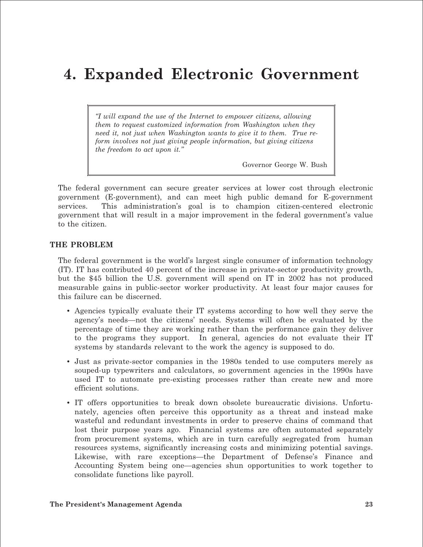### **4. Expanded Electronic Government**

*"I will expand the use of the Internet to empower citizens, allowing them to request customized information from Washington when they need it, not just when Washington wants to give it to them. True reform involves not just giving people information, but giving citizens the freedom to act upon it."* 

Governor George W. Bush

The federal government can secure greater services at lower cost through electronic government (E-government), and can meet high public demand for E-government services. This administration's goal is to champion citizen-centered electronic government that will result in a major improvement in the federal government's value to the citizen.

#### **THE PROBLEM**

The federal government is the world's largest single consumer of information technology (IT). IT has contributed 40 percent of the increase in private-sector productivity growth, but the \$45 billion the U.S. government will spend on IT in 2002 has not produced measurable gains in public-sector worker productivity. At least four major causes for this failure can be discerned.

- Agencies typically evaluate their IT systems according to how well they serve the agency's needs—not the citizens' needs. Systems will often be evaluated by the percentage of time they are working rather than the performance gain they deliver to the programs they support. In general, agencies do not evaluate their IT systems by standards relevant to the work the agency is supposed to do.
- Just as private-sector companies in the 1980s tended to use computers merely as souped-up typewriters and calculators, so government agencies in the 1990s have used IT to automate pre-existing processes rather than create new and more efficient solutions.
- IT offers opportunities to break down obsolete bureaucratic divisions. Unfortunately, agencies often perceive this opportunity as a threat and instead make wasteful and redundant investments in order to preserve chains of command that lost their purpose years ago. Financial systems are often automated separately from procurement systems, which are in turn carefully segregated from human resources systems, significantly increasing costs and minimizing potential savings. Likewise, with rare exceptions—the Department of Defense's Finance and Accounting System being one—agencies shun opportunities to work together to consolidate functions like payroll.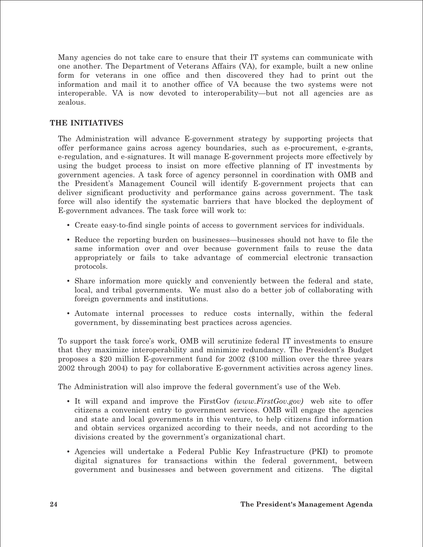Many agencies do not take care to ensure that their IT systems can communicate with one another. The Department of Veterans Affairs (VA), for example, built a new online form for veterans in one office and then discovered they had to print out the information and mail it to another office of VA because the two systems were not interoperable. VA is now devoted to interoperability—but not all agencies are as zealous.

#### **THE INITIATIVES**

The Administration will advance E-government strategy by supporting projects that offer performance gains across agency boundaries, such as e-procurement, e-grants, e-regulation, and e-signatures. It will manage E-government projects more effectively by using the budget process to insist on more effective planning of IT investments by government agencies. A task force of agency personnel in coordination with OMB and the President's Management Council will identify E-government projects that can deliver significant productivity and performance gains across government. The task force will also identify the systematic barriers that have blocked the deployment of E-government advances. The task force will work to:

- Create easy-to-find single points of access to government services for individuals.
- Reduce the reporting burden on businesses—businesses should not have to file the same information over and over because government fails to reuse the data appropriately or fails to take advantage of commercial electronic transaction protocols.
- Share information more quickly and conveniently between the federal and state, local, and tribal governments. We must also do a better job of collaborating with foreign governments and institutions.
- • Automate internal processes to reduce costs internally, within the federal government, by disseminating best practices across agencies.

To support the task force's work, OMB will scrutinize federal IT investments to ensure that they maximize interoperability and minimize redundancy. The President's Budget proposes a \$20 million E-government fund for 2002 (\$100 million over the three years 2002 through 2004) to pay for collaborative E-government activities across agency lines.

The Administration will also improve the federal government's use of the Web.

- • It will expand and improve the FirstGov *(www.FirstGov.gov)* web site to offer citizens a convenient entry to government services. OMB will engage the agencies and state and local governments in this venture, to help citizens find information and obtain services organized according to their needs, and not according to the divisions created by the government's organizational chart.
- • Agencies will undertake a Federal Public Key Infrastructure (PKI) to promote digital signatures for transactions within the federal government, between government and businesses and between government and citizens. The digital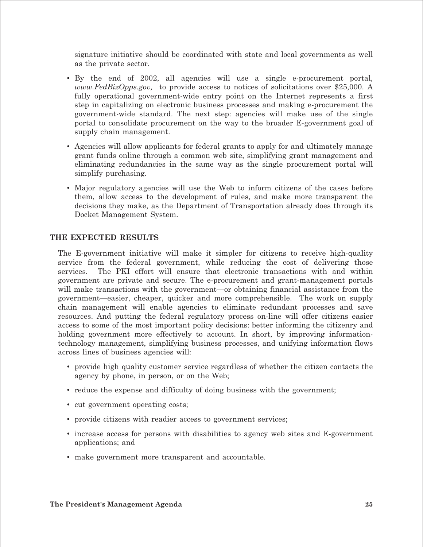signature initiative should be coordinated with state and local governments as well as the private sector.

- • By the end of 2002, all agencies will use a single e-procurement portal, *www.FedBizOpps.gov,* to provide access to notices of solicitations over \$25,000. A fully operational government-wide entry point on the Internet represents a first step in capitalizing on electronic business processes and making e-procurement the government-wide standard. The next step: agencies will make use of the single portal to consolidate procurement on the way to the broader E-government goal of supply chain management.
- Agencies will allow applicants for federal grants to apply for and ultimately manage grant funds online through a common web site, simplifying grant management and eliminating redundancies in the same way as the single procurement portal will simplify purchasing.
- Major regulatory agencies will use the Web to inform citizens of the cases before them, allow access to the development of rules, and make more transparent the decisions they make, as the Department of Transportation already does through its Docket Management System.

#### **THE EXPECTED RESULTS**

The E-government initiative will make it simpler for citizens to receive high-quality service from the federal government, while reducing the cost of delivering those services. The PKI effort will ensure that electronic transactions with and within government are private and secure. The e-procurement and grant-management portals will make transactions with the government—or obtaining financial assistance from the government—easier, cheaper, quicker and more comprehensible. The work on supply chain management will enable agencies to eliminate redundant processes and save resources. And putting the federal regulatory process on-line will offer citizens easier access to some of the most important policy decisions: better informing the citizenry and holding government more effectively to account. In short, by improving informationtechnology management, simplifying business processes, and unifying information flows across lines of business agencies will:

- provide high quality customer service regardless of whether the citizen contacts the agency by phone, in person, or on the Web;
- reduce the expense and difficulty of doing business with the government;
- cut government operating costs;
- provide citizens with readier access to government services;
- increase access for persons with disabilities to agency web sites and E-government applications; and
- make government more transparent and accountable.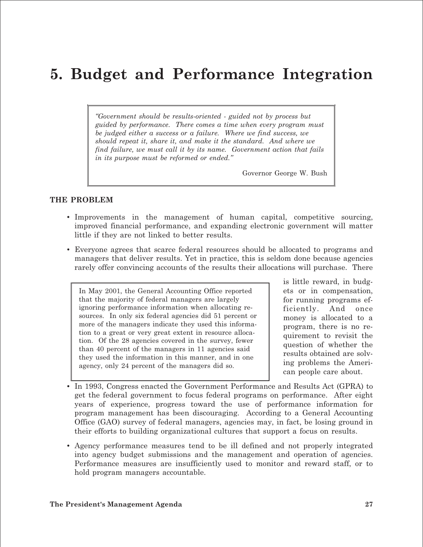### **5. Budget and Performance Integration**

*"Government should be results-oriented - guided not by process but guided by performance. There comes a time when every program must be judged either a success or a failure. Where we find success, we should repeat it, share it, and make it the standard. And where we find failure, we must call it by its name. Government action that fails in its purpose must be reformed or ended."* 

Governor George W. Bush

#### **THE PROBLEM**

- Improvements in the management of human capital, competitive sourcing, improved financial performance, and expanding electronic government will matter little if they are not linked to better results.
- Everyone agrees that scarce federal resources should be allocated to programs and managers that deliver results. Yet in practice, this is seldom done because agencies rarely offer convincing accounts of the results their allocations will purchase. There

In May 2001, the General Accounting Office reported that the majority of federal managers are largely ignoring performance information when allocating resources. In only six federal agencies did 51 percent or more of the managers indicate they used this information to a great or very great extent in resource allocation. Of the 28 agencies covered in the survey, fewer than 40 percent of the managers in 11 agencies said they used the information in this manner, and in one agency, only 24 percent of the managers did so.

is little reward, in budgets or in compensation, for running programs efficiently. And once money is allocated to a program, there is no requirement to revisit the question of whether the results obtained are solving problems the American people care about.

- In 1993, Congress enacted the Government Performance and Results Act (GPRA) to get the federal government to focus federal programs on performance. After eight years of experience, progress toward the use of performance information for program management has been discouraging. According to a General Accounting Office (GAO) survey of federal managers, agencies may, in fact, be losing ground in their efforts to building organizational cultures that support a focus on results.
- Agency performance measures tend to be ill defined and not properly integrated into agency budget submissions and the management and operation of agencies. Performance measures are insufficiently used to monitor and reward staff, or to hold program managers accountable.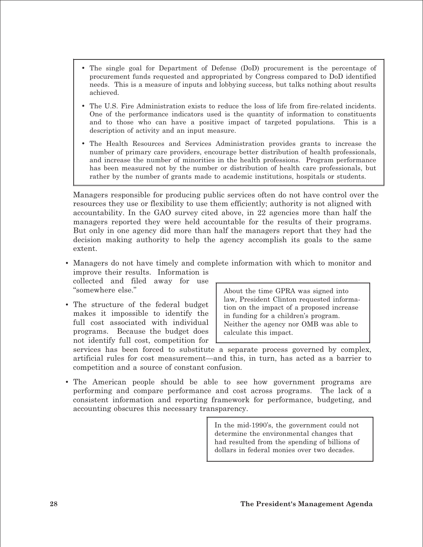- The single goal for Department of Defense (DoD) procurement is the percentage of procurement funds requested and appropriated by Congress compared to DoD identified needs. This is a measure of inputs and lobbying success, but talks nothing about results achieved.
- The U.S. Fire Administration exists to reduce the loss of life from fire-related incidents. One of the performance indicators used is the quantity of information to constituents and to those who can have a positive impact of targeted populations. This is a description of activity and an input measure.
- The Health Resources and Services Administration provides grants to increase the number of primary care providers, encourage better distribution of health professionals, and increase the number of minorities in the health professions. Program performance has been measured not by the number or distribution of health care professionals, but rather by the number of grants made to academic institutions, hospitals or students.

Managers responsible for producing public services often do not have control over the resources they use or flexibility to use them efficiently; authority is not aligned with accountability. In the GAO survey cited above, in 22 agencies more than half the managers reported they were held accountable for the results of their programs. But only in one agency did more than half the managers report that they had the decision making authority to help the agency accomplish its goals to the same extent.

• Managers do not have timely and complete information with which to monitor and improve their results. Information is

collected and filed away for use "somewhere else."

• The structure of the federal budget makes it impossible to identify the full cost associated with individual programs. Because the budget does not identify full cost, competition for About the time GPRA was signed into law, President Clinton requested information on the impact of a proposed increase in funding for a children's program. Neither the agency nor OMB was able to calculate this impact.

services has been forced to substitute a separate process governed by complex, artificial rules for cost measurement—and this, in turn, has acted as a barrier to competition and a source of constant confusion.

• The American people should be able to see how government programs are performing and compare performance and cost across programs. The lack of a consistent information and reporting framework for performance, budgeting, and accounting obscures this necessary transparency.

> In the mid-1990's, the government could not determine the environmental changes that had resulted from the spending of billions of dollars in federal monies over two decades.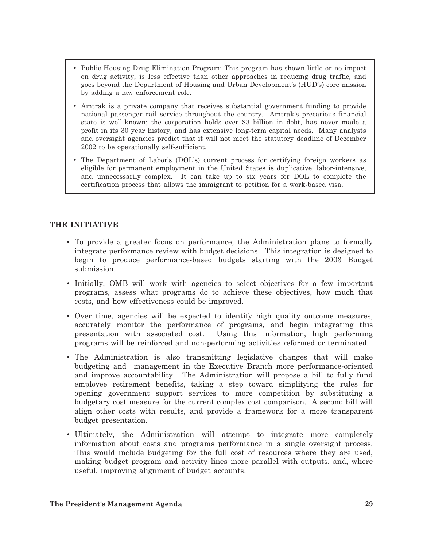- Public Housing Drug Elimination Program: This program has shown little or no impact on drug activity, is less effective than other approaches in reducing drug traffic, and goes beyond the Department of Housing and Urban Development's (HUD's) core mission by adding a law enforcement role.
- Amtrak is a private company that receives substantial government funding to provide national passenger rail service throughout the country. Amtrak's precarious financial state is well-known; the corporation holds over \$3 billion in debt, has never made a profit in its 30 year history, and has extensive long-term capital needs. Many analysts and oversight agencies predict that it will not meet the statutory deadline of December 2002 to be operationally self-sufficient.
- The Department of Labor's (DOL's) current process for certifying foreign workers as eligible for permanent employment in the United States is duplicative, labor-intensive, and unnecessarily complex. It can take up to six years for DOL to complete the certification process that allows the immigrant to petition for a work-based visa.

#### **THE INITIATIVE**

- To provide a greater focus on performance, the Administration plans to formally integrate performance review with budget decisions. This integration is designed to begin to produce performance-based budgets starting with the 2003 Budget submission.
- Initially, OMB will work with agencies to select objectives for a few important programs, assess what programs do to achieve these objectives, how much that costs, and how effectiveness could be improved.
- Over time, agencies will be expected to identify high quality outcome measures, accurately monitor the performance of programs, and begin integrating this presentation with associated cost. Using this information, high performing programs will be reinforced and non-performing activities reformed or terminated.
- The Administration is also transmitting legislative changes that will make budgeting and management in the Executive Branch more performance-oriented and improve accountability. The Administration will propose a bill to fully fund employee retirement benefits, taking a step toward simplifying the rules for opening government support services to more competition by substituting a budgetary cost measure for the current complex cost comparison. A second bill will align other costs with results, and provide a framework for a more transparent budget presentation.
- Ultimately, the Administration will attempt to integrate more completely information about costs and programs performance in a single oversight process. This would include budgeting for the full cost of resources where they are used, making budget program and activity lines more parallel with outputs, and, where useful, improving alignment of budget accounts.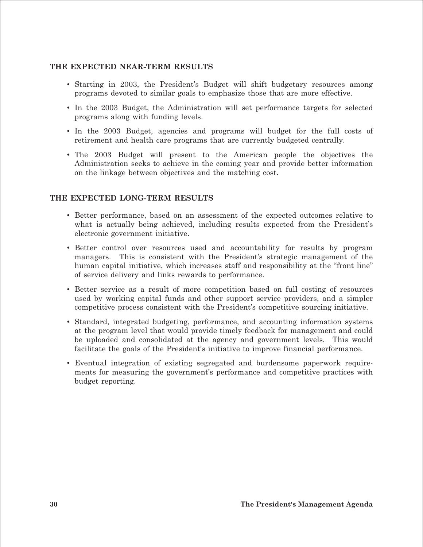#### **THE EXPECTED NEAR-TERM RESULTS**

- Starting in 2003, the President's Budget will shift budgetary resources among programs devoted to similar goals to emphasize those that are more effective.
- In the 2003 Budget, the Administration will set performance targets for selected programs along with funding levels.
- In the 2003 Budget, agencies and programs will budget for the full costs of retirement and health care programs that are currently budgeted centrally.
- The 2003 Budget will present to the American people the objectives the Administration seeks to achieve in the coming year and provide better information on the linkage between objectives and the matching cost.

#### **THE EXPECTED LONG-TERM RESULTS**

- Better performance, based on an assessment of the expected outcomes relative to what is actually being achieved, including results expected from the President's electronic government initiative.
- Better control over resources used and accountability for results by program managers. This is consistent with the President's strategic management of the human capital initiative, which increases staff and responsibility at the "front line" of service delivery and links rewards to performance.
- Better service as a result of more competition based on full costing of resources used by working capital funds and other support service providers, and a simpler competitive process consistent with the President's competitive sourcing initiative.
- Standard, integrated budgeting, performance, and accounting information systems at the program level that would provide timely feedback for management and could be uploaded and consolidated at the agency and government levels. This would facilitate the goals of the President's initiative to improve financial performance.
- • Eventual integration of existing segregated and burdensome paperwork requirements for measuring the government's performance and competitive practices with budget reporting.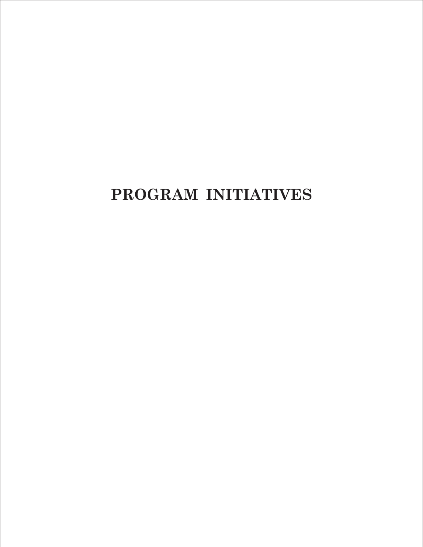# **PROGRAM INITIATIVES**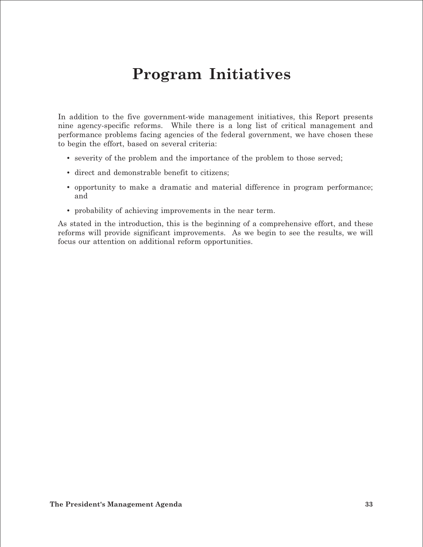## **Program Initiatives**

In addition to the five government-wide management initiatives, this Report presents nine agency-specific reforms. While there is a long list of critical management and performance problems facing agencies of the federal government, we have chosen these to begin the effort, based on several criteria:

- severity of the problem and the importance of the problem to those served;
- direct and demonstrable benefit to citizens;
- opportunity to make a dramatic and material difference in program performance; and
- probability of achieving improvements in the near term.

As stated in the introduction, this is the beginning of a comprehensive effort, and these reforms will provide significant improvements. As we begin to see the results, we will focus our attention on additional reform opportunities.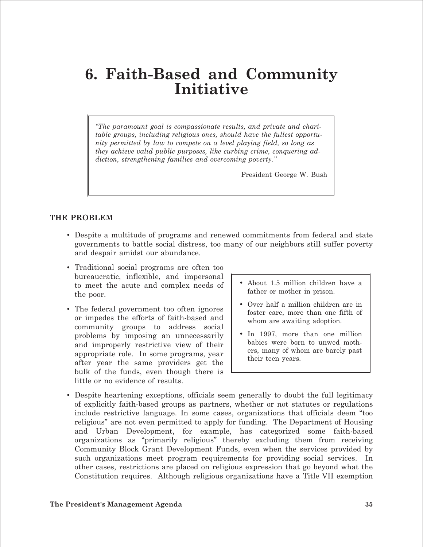### **6. Faith-Based and Community Initiative**

*"The paramount goal is compassionate results, and private and charitable groups, including religious ones, should have the fullest opportunity permitted by law to compete on a level playing field, so long as they achieve valid public purposes, like curbing crime, conquering addiction, strengthening families and overcoming poverty."* 

President George W. Bush

#### **THE PROBLEM**

- Despite a multitude of programs and renewed commitments from federal and state governments to battle social distress, too many of our neighbors still suffer poverty and despair amidst our abundance.
- Traditional social programs are often too bureaucratic, inflexible, and impersonal to meet the acute and complex needs of the poor.
- The federal government too often ignores or impedes the efforts of faith-based and community groups to address social problems by imposing an unnecessarily and improperly restrictive view of their appropriate role. In some programs, year after year the same providers get the bulk of the funds, even though there is little or no evidence of results.
- About 1.5 million children have a father or mother in prison.
- Over half a million children are in foster care, more than one fifth of whom are awaiting adoption.
- In 1997, more than one million babies were born to unwed mothers, many of whom are barely past their teen years.
- Despite heartening exceptions, officials seem generally to doubt the full legitimacy of explicitly faith-based groups as partners, whether or not statutes or regulations include restrictive language. In some cases, organizations that officials deem "too religious" are not even permitted to apply for funding. The Department of Housing and Urban Development, for example, has categorized some faith-based organizations as "primarily religious" thereby excluding them from receiving Community Block Grant Development Funds, even when the services provided by such organizations meet program requirements for providing social services. In other cases, restrictions are placed on religious expression that go beyond what the Constitution requires. Although religious organizations have a Title VII exemption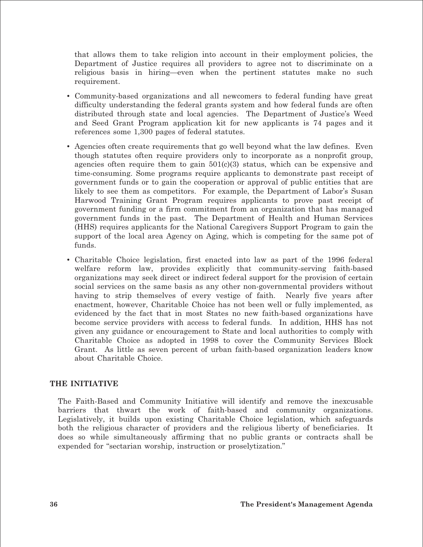that allows them to take religion into account in their employment policies, the Department of Justice requires all providers to agree not to discriminate on a religious basis in hiring—even when the pertinent statutes make no such requirement.

- • Community-based organizations and all newcomers to federal funding have great difficulty understanding the federal grants system and how federal funds are often distributed through state and local agencies. The Department of Justice's Weed and Seed Grant Program application kit for new applicants is 74 pages and it references some 1,300 pages of federal statutes.
- Agencies often create requirements that go well beyond what the law defines. Even though statutes often require providers only to incorporate as a nonprofit group, agencies often require them to gain  $501(c)(3)$  status, which can be expensive and time-consuming. Some programs require applicants to demonstrate past receipt of government funds or to gain the cooperation or approval of public entities that are likely to see them as competitors. For example, the Department of Labor's Susan Harwood Training Grant Program requires applicants to prove past receipt of government funding or a firm commitment from an organization that has managed government funds in the past. The Department of Health and Human Services (HHS) requires applicants for the National Caregivers Support Program to gain the support of the local area Agency on Aging, which is competing for the same pot of funds.
- • Charitable Choice legislation, first enacted into law as part of the 1996 federal welfare reform law, provides explicitly that community-serving faith-based organizations may seek direct or indirect federal support for the provision of certain social services on the same basis as any other non-governmental providers without having to strip themselves of every vestige of faith. Nearly five years after enactment, however, Charitable Choice has not been well or fully implemented, as evidenced by the fact that in most States no new faith-based organizations have become service providers with access to federal funds. In addition, HHS has not given any guidance or encouragement to State and local authorities to comply with Charitable Choice as adopted in 1998 to cover the Community Services Block Grant. As little as seven percent of urban faith-based organization leaders know about Charitable Choice.

#### **THE INITIATIVE**

The Faith-Based and Community Initiative will identify and remove the inexcusable barriers that thwart the work of faith-based and community organizations. Legislatively, it builds upon existing Charitable Choice legislation, which safeguards both the religious character of providers and the religious liberty of beneficiaries. It does so while simultaneously affirming that no public grants or contracts shall be expended for "sectarian worship, instruction or proselytization."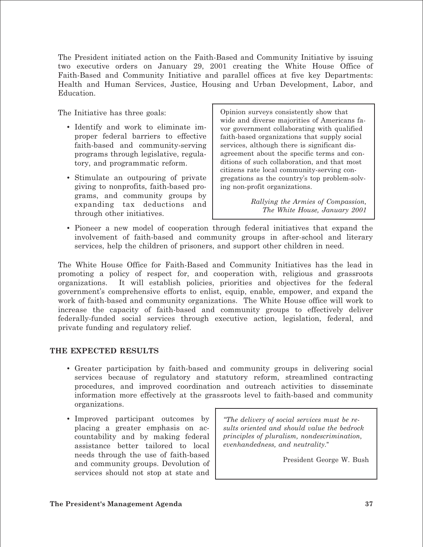The President initiated action on the Faith-Based and Community Initiative by issuing two executive orders on January 29, 2001 creating the White House Office of Faith-Based and Community Initiative and parallel offices at five key Departments: Health and Human Services, Justice, Housing and Urban Development, Labor, and Education.

The Initiative has three goals:

- Identify and work to eliminate improper federal barriers to effective faith-based and community-serving programs through legislative, regulatory, and programmatic reform.
- Stimulate an outpouring of private giving to nonprofits, faith-based programs, and community groups by expanding tax deductions and through other initiatives.

Opinion surveys consistently show that wide and diverse majorities of Americans favor government collaborating with qualified faith-based organizations that supply social services, although there is significant disagreement about the specific terms and conditions of such collaboration, and that most citizens rate local community-serving congregations as the country's top problem-solving non-profit organizations.

> *Rallying the Armies of Compassion, The White House, January 2001*

• Pioneer a new model of cooperation through federal initiatives that expand the involvement of faith-based and community groups in after-school and literary services, help the children of prisoners, and support other children in need.

The White House Office for Faith-Based and Community Initiatives has the lead in promoting a policy of respect for, and cooperation with, religious and grassroots organizations. It will establish policies, priorities and objectives for the federal government's comprehensive efforts to enlist, equip, enable, empower, and expand the work of faith-based and community organizations. The White House office will work to increase the capacity of faith-based and community groups to effectively deliver federally-funded social services through executive action, legislation, federal, and private funding and regulatory relief.

#### **THE EXPECTED RESULTS**

- Greater participation by faith-based and community groups in delivering social services because of regulatory and statutory reform, streamlined contracting procedures, and improved coordination and outreach activities to disseminate information more effectively at the grassroots level to faith-based and community organizations.
- Improved participant outcomes by placing a greater emphasis on accountability and by making federal assistance better tailored to local needs through the use of faith-based and community groups. Devolution of services should not stop at state and

*"The delivery of social services must be results oriented and should value the bedrock principles of pluralism, nondescrimination, evenhandedness, and neutrality.*"

President George W. Bush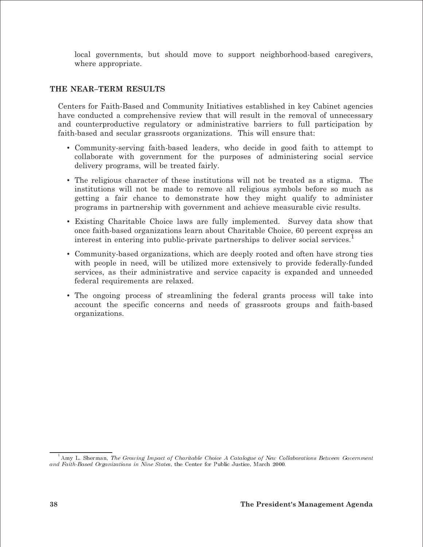local governments, but should move to support neighborhood-based caregivers, where appropriate.

#### THE NEAR-TERM RESULTS

Centers for Faith-Based and Community Initiatives established in key Cabinet agencies have conducted a comprehensive review that will result in the removal of unnecessary and counterproductive regulatory or administrative barriers to full participation by faith-based and secular grassroots organizations. This will ensure that:

- Community-serving faith-based leaders, who decide in good faith to attempt to collaborate with government for the purposes of administering social service delivery programs, will be treated fairly.
- The religious character of these institutions will not be treated as a stigma. The institutions will not be made to remove all religious symbols before so much as getting a fair chance to demonstrate how they might qualify to administer programs in partnership with government and achieve measurable civic results.
- Existing Charitable Choice laws are fully implemented. Survey data show that once faith-based organizations learn about Charitable Choice, 60 percent express an interest in entering into public-private partnerships to deliver social services.
- Community-based organizations, which are deeply rooted and often have strong ties with people in need, will be utilized more extensively to provide federally-funded services, as their administrative and service capacity is expanded and unneeded federal requirements are relaxed.
- The ongoing process of streamlining the federal grants process will take into account the specific concerns and needs of grassroots groups and faith-based organizations.

Amy L. Sherman, The Growing Impact of Charitable Choice A Catalogue of New Collaborations Between Government and Faith-Based Organizations in Nine States, the Center for Public Justice, March 2000.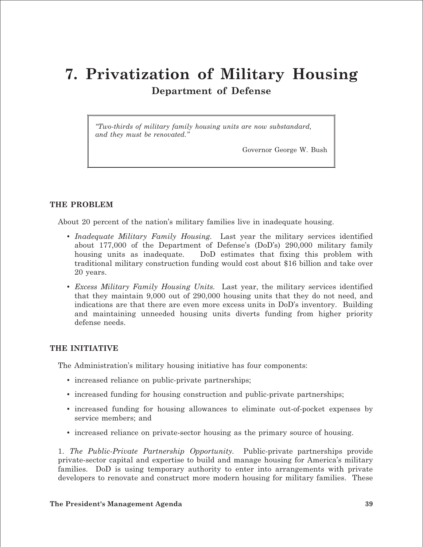### **7. Privatization of Military Housing Department of Defense**

*"Two-thirds of military family housing units are now substandard, and they must be renovated."* 

Governor George W. Bush

#### **THE PROBLEM**

About 20 percent of the nation's military families live in inadequate housing.

- *Inadequate Military Family Housing.* Last year the military services identified about 177,000 of the Department of Defense's (DoD's) 290,000 military family housing units as inadequate. DoD estimates that fixing this problem with traditional military construction funding would cost about \$16 billion and take over 20 years.
- *Excess Military Family Housing Units.* Last year, the military services identified that they maintain 9,000 out of 290,000 housing units that they do not need, and indications are that there are even more excess units in DoD's inventory. Building and maintaining unneeded housing units diverts funding from higher priority defense needs.

#### **THE INITIATIVE**

The Administration's military housing initiative has four components:

- increased reliance on public-private partnerships;
- increased funding for housing construction and public-private partnerships;
- increased funding for housing allowances to eliminate out-of-pocket expenses by service members; and
- increased reliance on private-sector housing as the primary source of housing.

1. *The Public-Private Partnership Opportunity.* Public-private partnerships provide private-sector capital and expertise to build and manage housing for America's military families. DoD is using temporary authority to enter into arrangements with private developers to renovate and construct more modern housing for military families. These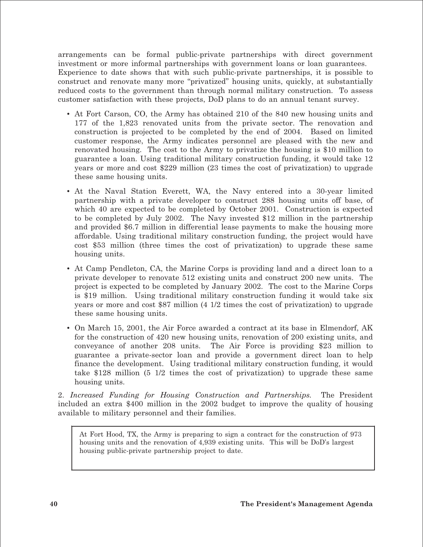arrangements can be formal public-private partnerships with direct government investment or more informal partnerships with government loans or loan guarantees. Experience to date shows that with such public-private partnerships, it is possible to construct and renovate many more "privatized" housing units, quickly, at substantially reduced costs to the government than through normal military construction. To assess customer satisfaction with these projects, DoD plans to do an annual tenant survey.

- At Fort Carson, CO, the Army has obtained 210 of the 840 new housing units and 177 of the 1,823 renovated units from the private sector. The renovation and construction is projected to be completed by the end of 2004. Based on limited customer response, the Army indicates personnel are pleased with the new and renovated housing. The cost to the Army to privatize the housing is \$10 million to guarantee a loan. Using traditional military construction funding, it would take 12 years or more and cost \$229 million (23 times the cost of privatization) to upgrade these same housing units.
- At the Naval Station Everett, WA, the Navy entered into a 30-year limited partnership with a private developer to construct 288 housing units off base, of which 40 are expected to be completed by October 2001. Construction is expected to be completed by July 2002. The Navy invested \$12 million in the partnership and provided \$6.7 million in differential lease payments to make the housing more affordable. Using traditional military construction funding, the project would have cost \$53 million (three times the cost of privatization) to upgrade these same housing units.
- At Camp Pendleton, CA, the Marine Corps is providing land and a direct loan to a private developer to renovate 512 existing units and construct 200 new units. The project is expected to be completed by January 2002. The cost to the Marine Corps is \$19 million. Using traditional military construction funding it would take six years or more and cost \$87 million (4 1/2 times the cost of privatization) to upgrade these same housing units.
- On March 15, 2001, the Air Force awarded a contract at its base in Elmendorf, AK for the construction of 420 new housing units, renovation of 200 existing units, and conveyance of another 208 units. The Air Force is providing \$23 million to guarantee a private-sector loan and provide a government direct loan to help finance the development. Using traditional military construction funding, it would take \$128 million (5 1/2 times the cost of privatization) to upgrade these same housing units.

2. *Increased Funding for Housing Construction and Partnerships.* The President included an extra \$400 million in the 2002 budget to improve the quality of housing available to military personnel and their families.

At Fort Hood, TX, the Army is preparing to sign a contract for the construction of 973 housing units and the renovation of 4,939 existing units. This will be DoD's largest housing public-private partnership project to date.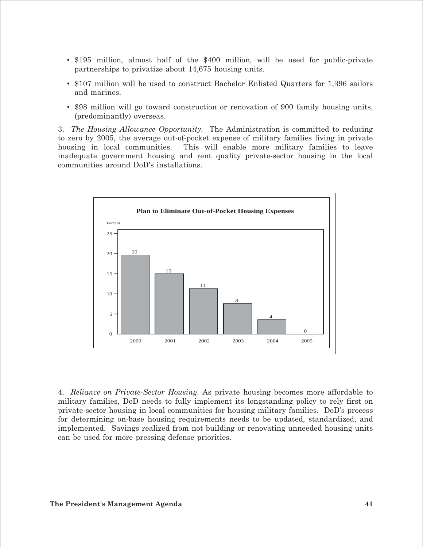- \$195 million, almost half of the \$400 million, will be used for public-private partnerships to privatize about 14,675 housing units.
- \$107 million will be used to construct Bachelor Enlisted Quarters for 1,396 sailors and marines.
- \$98 million will go toward construction or renovation of 900 family housing units, (predominantly) overseas.

3. *The Housing Allowance Opportunity.* The Administration is committed to reducing to zero by 2005, the average out-of-pocket expense of military families living in private housing in local communities. This will enable more military families to leave inadequate government housing and rent quality private-sector housing in the local communities around DoD's installations.



4. *Reliance on Private-Sector Housing.* As private housing becomes more affordable to military families, DoD needs to fully implement its longstanding policy to rely first on private-sector housing in local communities for housing military families. DoD's process for determining on-base housing requirements needs to be updated, standardized, and implemented. Savings realized from not building or renovating unneeded housing units can be used for more pressing defense priorities.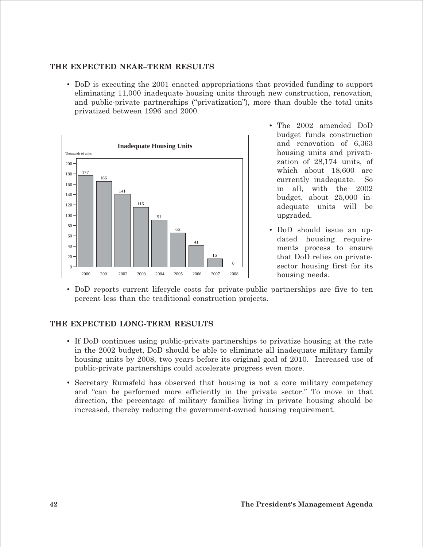#### **THE EXPECTED NEAR–TERM RESULTS**

• DoD is executing the 2001 enacted appropriations that provided funding to support eliminating 11,000 inadequate housing units through new construction, renovation, and public-private partnerships ("privatization"), more than double the total units privatized between 1996 and 2000.



- The 2002 amended DoD budget funds construction and renovation of 6,363 housing units and privatization of 28,174 units, of which about 18,600 are currently inadequate. So in all, with the 2002 budget, about 25,000 inadequate units will be upgraded.
- DoD should issue an updated housing requirements process to ensure that DoD relies on privatesector housing first for its housing needs.
- DoD reports current lifecycle costs for private-public partnerships are five to ten percent less than the traditional construction projects.

#### **THE EXPECTED LONG-TERM RESULTS**

- If DoD continues using public-private partnerships to privatize housing at the rate in the 2002 budget, DoD should be able to eliminate all inadequate military family housing units by 2008, two years before its original goal of 2010. Increased use of public-private partnerships could accelerate progress even more.
- Secretary Rumsfeld has observed that housing is not a core military competency and "can be performed more efficiently in the private sector." To move in that direction, the percentage of military families living in private housing should be increased, thereby reducing the government-owned housing requirement.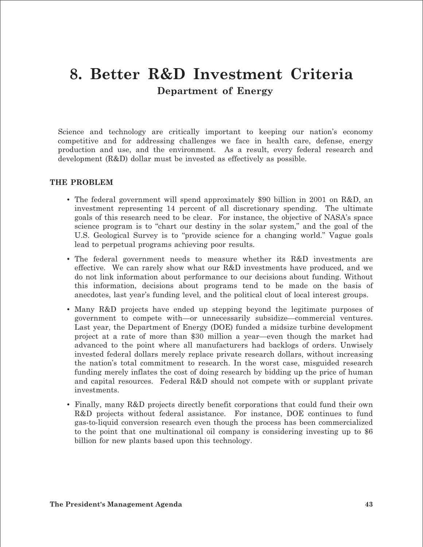### **8. Better R&D Investment Criteria Department of Energy**

Science and technology are critically important to keeping our nation's economy competitive and for addressing challenges we face in health care, defense, energy production and use, and the environment. As a result, every federal research and development (R&D) dollar must be invested as effectively as possible.

#### **THE PROBLEM**

- The federal government will spend approximately \$90 billion in 2001 on R&D, an investment representing 14 percent of all discretionary spending. The ultimate goals of this research need to be clear. For instance, the objective of NASA's space science program is to "chart our destiny in the solar system," and the goal of the U.S. Geological Survey is to "provide science for a changing world." Vague goals lead to perpetual programs achieving poor results.
- The federal government needs to measure whether its R&D investments are effective. We can rarely show what our R&D investments have produced, and we do not link information about performance to our decisions about funding. Without this information, decisions about programs tend to be made on the basis of anecdotes, last year's funding level, and the political clout of local interest groups.
- Many R&D projects have ended up stepping beyond the legitimate purposes of government to compete with—or unnecessarily subsidize—commercial ventures. Last year, the Department of Energy (DOE) funded a midsize turbine development project at a rate of more than \$30 million a year—even though the market had advanced to the point where all manufacturers had backlogs of orders. Unwisely invested federal dollars merely replace private research dollars, without increasing the nation's total commitment to research. In the worst case, misguided research funding merely inflates the cost of doing research by bidding up the price of human and capital resources. Federal R&D should not compete with or supplant private investments.
- Finally, many R&D projects directly benefit corporations that could fund their own R&D projects without federal assistance. For instance, DOE continues to fund gas-to-liquid conversion research even though the process has been commercialized to the point that one multinational oil company is considering investing up to \$6 billion for new plants based upon this technology.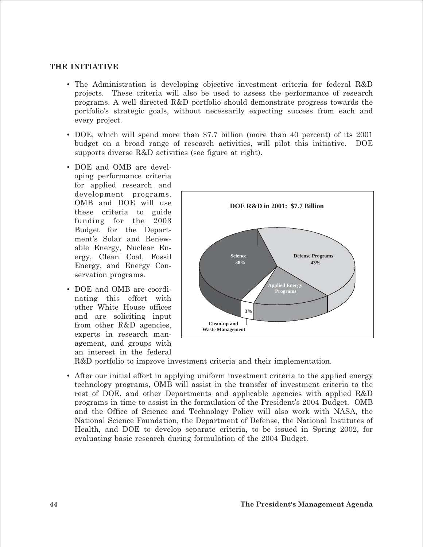#### **THE INITIATIVE**

- The Administration is developing objective investment criteria for federal R&D projects. These criteria will also be used to assess the performance of research programs. A well directed R&D portfolio should demonstrate progress towards the portfolio's strategic goals, without necessarily expecting success from each and every project.
- DOE, which will spend more than \$7.7 billion (more than 40 percent) of its 2001 budget on a broad range of research activities, will pilot this initiative. DOE supports diverse R&D activities (see figure at right).
- DOE and OMB are developing performance criteria for applied research and development programs. OMB and DOE will use these criteria to guide funding for the 2003 Budget for the Department's Solar and Renewable Energy, Nuclear Energy, Clean Coal, Fossil Energy, and Energy Conservation programs.
- DOE and OMB are coordinating this effort with other White House offices and are soliciting input from other R&D agencies, experts in research management, and groups with an interest in the federal



R&D portfolio to improve investment criteria and their implementation.

• After our initial effort in applying uniform investment criteria to the applied energy technology programs, OMB will assist in the transfer of investment criteria to the rest of DOE, and other Departments and applicable agencies with applied R&D programs in time to assist in the formulation of the President's 2004 Budget. OMB and the Office of Science and Technology Policy will also work with NASA, the National Science Foundation, the Department of Defense, the National Institutes of Health, and DOE to develop separate criteria, to be issued in Spring 2002, for evaluating basic research during formulation of the 2004 Budget.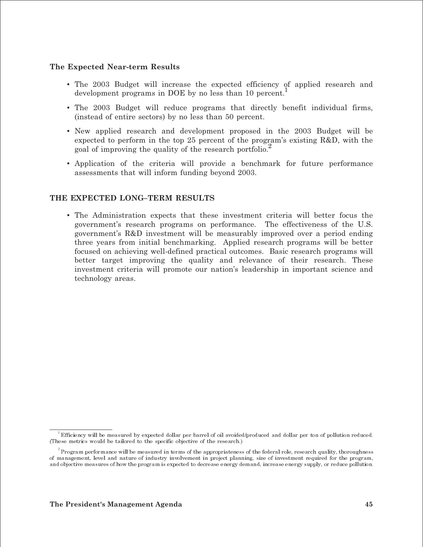#### The Expected Near-term Results

- The 2003 Budget will increase the expected efficiency of applied research and development programs in DOE by no less than 10 percent.
- The 2003 Budget will reduce programs that directly benefit individual firms, (instead of entire sectors) by no less than 50 percent.
- New applied research and development proposed in the 2003 Budget will be expected to perform in the top 25 percent of the program's existing R&D, with the goal of improving the quality of the research portfolio.<sup>2</sup>
- Application of the criteria will provide a benchmark for future performance assessments that will inform funding beyond 2003.

#### THE EXPECTED LONG-TERM RESULTS

• The Administration expects that these investment criteria will better focus the government's research programs on performance. The effectiveness of the U.S. government's R&D investment will be measurably improved over a period ending three years from initial benchmarking. Applied research programs will be better focused on achieving well-defined practical outcomes. Basic research programs will better target improving the quality and relevance of their research. These investment criteria will promote our nation's leadership in important science and technology areas.

Efficiency will be measured by expected dollar per barrel of oil avoided/produced and dollar per ton of pollution reduced. (These metrics would be tailored to the specific objective of the research.)

 $^{\rm 2}$  Program performance will be measured in terms of the appropriateness of the federal role, research quality, thoroughness of management, level and nature of industry involvement in project planning, size of investment required for the program, and objective measures of how the program is expected to decrease energy demand, increase energy supply, or reduce pollution.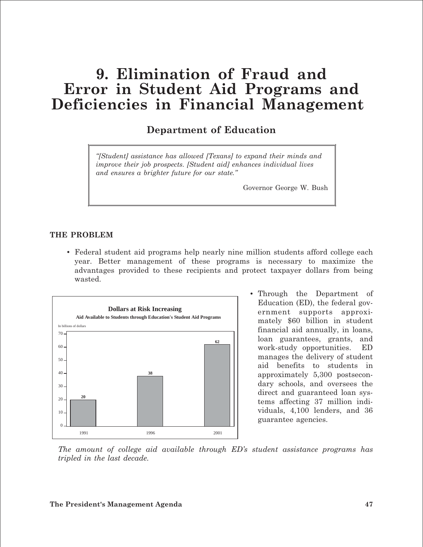### **9. Elimination of Fraud and Error in Student Aid Programs and Deficiencies in Financial Management**

### **Department of Education**

*"[Student] assistance has allowed [Texans] to expand their minds and improve their job prospects. [Student aid] enhances individual lives and ensures a brighter future for our state."* 

Governor George W. Bush

#### **THE PROBLEM**

• Federal student aid programs help nearly nine million students afford college each year. Better management of these programs is necessary to maximize the advantages provided to these recipients and protect taxpayer dollars from being wasted.



• Through the Department of Education (ED), the federal government supports approximately \$60 billion in student financial aid annually, in loans, loan guarantees, grants, and work-study opportunities. ED manages the delivery of student aid benefits to students in approximately 5,300 postsecondary schools, and oversees the direct and guaranteed loan systems affecting 37 million individuals, 4,100 lenders, and 36 guarantee agencies.

*The amount of college aid available through ED's student assistance programs has tripled in the last decade.* 

#### **The President's Management Agenda 47**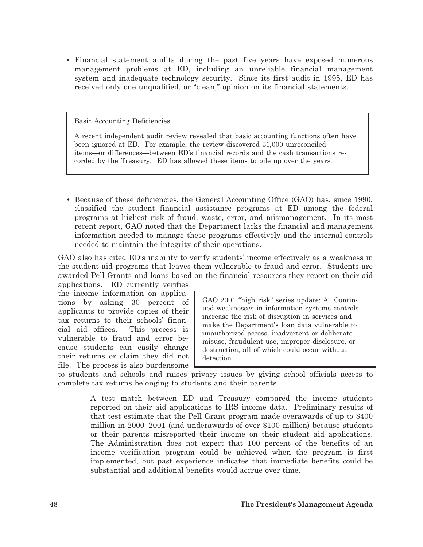• Financial statement audits during the past five years have exposed numerous management problems at ED, including an unreliable financial management system and inadequate technology security. Since its first audit in 1995, ED has received only one unqualified, or "clean," opinion on its financial statements.

#### Basic Accounting Deficiencies

A recent independent audit review revealed that basic accounting functions often have been ignored at ED. For example, the review discovered 31,000 unreconciled items—or differences—between ED's financial records and the cash transactions recorded by the Treasury. ED has allowed these items to pile up over the years.

• Because of these deficiencies, the General Accounting Office (GAO) has, since 1990, classified the student financial assistance programs at ED among the federal programs at highest risk of fraud, waste, error, and mismanagement. In its most recent report, GAO noted that the Department lacks the financial and management information needed to manage these programs effectively and the internal controls needed to maintain the integrity of their operations.

GAO also has cited ED's inability to verify students' income effectively as a weakness in the student aid programs that leaves them vulnerable to fraud and error. Students are awarded Pell Grants and loans based on the financial resources they report on their aid

applications. ED currently verifies the income information on applications by asking 30 percent of applicants to provide copies of their tax returns to their schools' financial aid offices. This process is vulnerable to fraud and error because students can easily change their returns or claim they did not file. The process is also burdensome

GAO 2001 "high risk" series update: A...Continued weaknesses in information systems controls increase the risk of disruption in services and make the Department's loan data vulnerable to unauthorized access, inadvertent or deliberate misuse, fraudulent use, improper disclosure, or destruction, all of which could occur without detection.

to students and schools and raises privacy issues by giving school officials access to complete tax returns belonging to students and their parents.

— A test match between ED and Treasury compared the income students reported on their aid applications to IRS income data. Preliminary results of that test estimate that the Pell Grant program made overawards of up to \$400 million in 2000–2001 (and underawards of over \$100 million) because students or their parents misreported their income on their student aid applications. The Administration does not expect that 100 percent of the benefits of an income verification program could be achieved when the program is first implemented, but past experience indicates that immediate benefits could be substantial and additional benefits would accrue over time.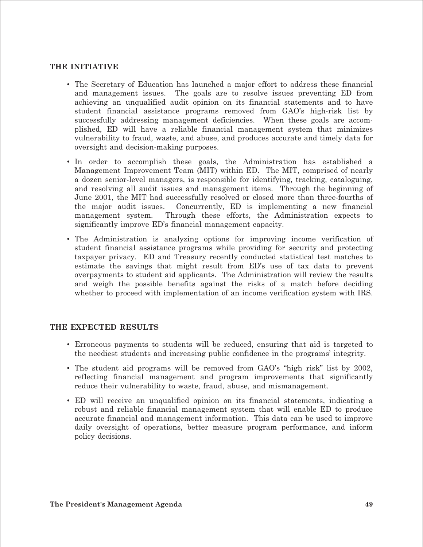#### **THE INITIATIVE**

- • The Secretary of Education has launched a major effort to address these financial and management issues. The goals are to resolve issues preventing ED from achieving an unqualified audit opinion on its financial statements and to have student financial assistance programs removed from GAO's high-risk list by successfully addressing management deficiencies. When these goals are accomplished, ED will have a reliable financial management system that minimizes vulnerability to fraud, waste, and abuse, and produces accurate and timely data for oversight and decision-making purposes.
- In order to accomplish these goals, the Administration has established a Management Improvement Team (MIT) within ED. The MIT, comprised of nearly a dozen senior-level managers, is responsible for identifying, tracking, cataloguing, and resolving all audit issues and management items. Through the beginning of June 2001, the MIT had successfully resolved or closed more than three-fourths of the major audit issues. Concurrently, ED is implementing a new financial management system. Through these efforts, the Administration expects to significantly improve ED's financial management capacity.
- The Administration is analyzing options for improving income verification of student financial assistance programs while providing for security and protecting taxpayer privacy. ED and Treasury recently conducted statistical test matches to estimate the savings that might result from ED's use of tax data to prevent overpayments to student aid applicants. The Administration will review the results and weigh the possible benefits against the risks of a match before deciding whether to proceed with implementation of an income verification system with IRS.

#### **THE EXPECTED RESULTS**

- • Erroneous payments to students will be reduced, ensuring that aid is targeted to the neediest students and increasing public confidence in the programs' integrity.
- The student aid programs will be removed from GAO's "high risk" list by 2002, reflecting financial management and program improvements that significantly reduce their vulnerability to waste, fraud, abuse, and mismanagement.
- • ED will receive an unqualified opinion on its financial statements, indicating a robust and reliable financial management system that will enable ED to produce accurate financial and management information. This data can be used to improve daily oversight of operations, better measure program performance, and inform policy decisions.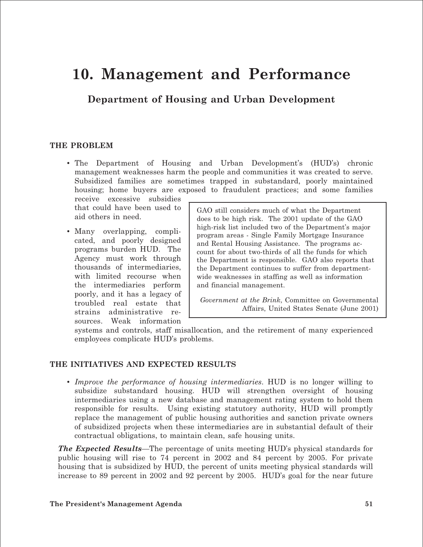### **10. Management and Performance**

**Department of Housing and Urban Development** 

#### **THE PROBLEM**

• The Department of Housing and Urban Development's (HUD's) chronic management weaknesses harm the people and communities it was created to serve. Subsidized families are sometimes trapped in substandard, poorly maintained housing; home buyers are exposed to fraudulent practices; and some families

receive excessive subsidies that could have been used to aid others in need.

• Many overlapping, complicated, and poorly designed programs burden HUD. The Agency must work through thousands of intermediaries, with limited recourse when the intermediaries perform poorly, and it has a legacy of troubled real estate that strains administrative resources. Weak information GAO still considers much of what the Department does to be high risk. The 2001 update of the GAO high-risk list included two of the Department's major program areas - Single Family Mortgage Insurance and Rental Housing Assistance. The programs account for about two-thirds of all the funds for which the Department is responsible. GAO also reports that the Department continues to suffer from departmentwide weaknesses in staffing as well as information and financial management.

*Government at the Brink*, Committee on Governmental Affairs, United States Senate (June 2001)

systems and controls, staff misallocation, and the retirement of many experienced employees complicate HUD's problems.

#### **THE INITIATIVES AND EXPECTED RESULTS**

• *Improve the performance of housing intermediaries*. HUD is no longer willing to subsidize substandard housing. HUD will strengthen oversight of housing intermediaries using a new database and management rating system to hold them responsible for results. Using existing statutory authority, HUD will promptly replace the management of public housing authorities and sanction private owners of subsidized projects when these intermediaries are in substantial default of their contractual obligations, to maintain clean, safe housing units.

*The Expected Results*—The percentage of units meeting HUD's physical standards for public housing will rise to 74 percent in 2002 and 84 percent by 2005. For private housing that is subsidized by HUD, the percent of units meeting physical standards will increase to 89 percent in 2002 and 92 percent by 2005. HUD's goal for the near future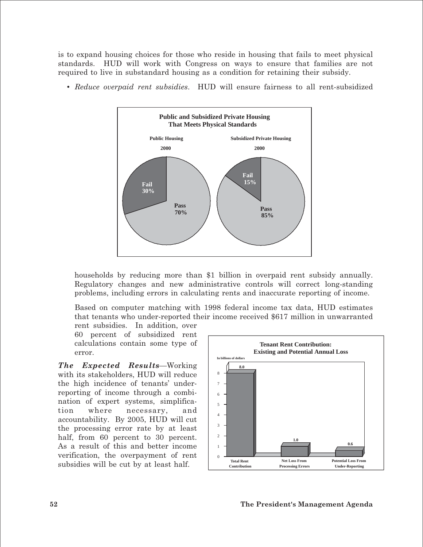is to expand housing choices for those who reside in housing that fails to meet physical standards. HUD will work with Congress on ways to ensure that families are not required to live in substandard housing as a condition for retaining their subsidy.

- **Fail 30% Pass 70% Public Housing Fail 15% Pass 85% Subsidized Private Housing Public and Subsidized Private Housing That Meets Physical Standards 2000 2000**
- *Reduce overpaid rent subsidies*. HUD will ensure fairness to all rent-subsidized

households by reducing more than \$1 billion in overpaid rent subsidy annually. Regulatory changes and new administrative controls will correct long-standing problems, including errors in calculating rents and inaccurate reporting of income.

Based on computer matching with 1998 federal income tax data, HUD estimates that tenants who under-reported their income received \$617 million in unwarranted

rent subsidies. In addition, over 60 percent of subsidized rent calculations contain some type of error.

*The Expected Results*—Working with its stakeholders, HUD will reduce the high incidence of tenants' underreporting of income through a combination of expert systems, simplification where necessary, and accountability. By 2005, HUD will cut the processing error rate by at least half, from 60 percent to 30 percent. As a result of this and better income verification, the overpayment of rent subsidies will be cut by at least half.

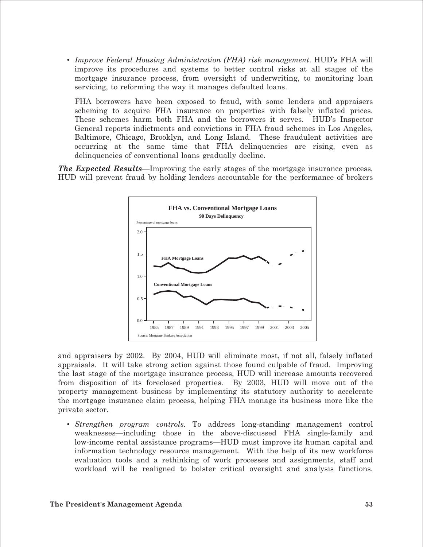• *Improve Federal Housing Administration (FHA) risk management*. HUD's FHA will improve its procedures and systems to better control risks at all stages of the mortgage insurance process, from oversight of underwriting, to monitoring loan servicing, to reforming the way it manages defaulted loans.

FHA borrowers have been exposed to fraud, with some lenders and appraisers scheming to acquire FHA insurance on properties with falsely inflated prices. These schemes harm both FHA and the borrowers it serves. HUD's Inspector General reports indictments and convictions in FHA fraud schemes in Los Angeles, Baltimore, Chicago, Brooklyn, and Long Island. These fraudulent activities are occurring at the same time that FHA delinquencies are rising, even as delinquencies of conventional loans gradually decline.

*The Expected Results*—Improving the early stages of the mortgage insurance process, HUD will prevent fraud by holding lenders accountable for the performance of brokers



and appraisers by 2002. By 2004, HUD will eliminate most, if not all, falsely inflated appraisals. It will take strong action against those found culpable of fraud. Improving the last stage of the mortgage insurance process, HUD will increase amounts recovered from disposition of its foreclosed properties. By 2003, HUD will move out of the property management business by implementing its statutory authority to accelerate the mortgage insurance claim process, helping FHA manage its business more like the private sector.

• *Strengthen program controls.* To address long-standing management control weaknesses—including those in the above-discussed FHA single-family and low-income rental assistance programs—HUD must improve its human capital and information technology resource management. With the help of its new workforce evaluation tools and a rethinking of work processes and assignments, staff and workload will be realigned to bolster critical oversight and analysis functions.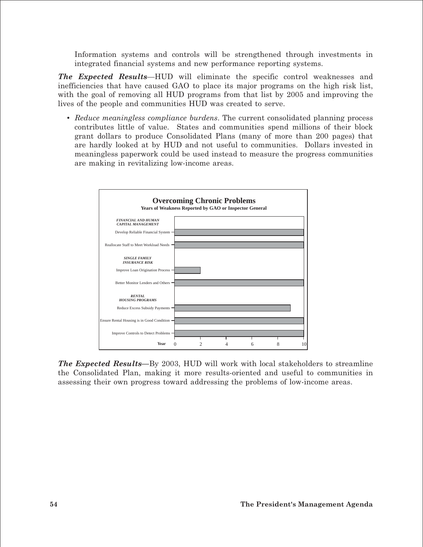Information systems and controls will be strengthened through investments in integrated financial systems and new performance reporting systems.

*The Expected Results*—HUD will eliminate the specific control weaknesses and inefficiencies that have caused GAO to place its major programs on the high risk list, with the goal of removing all HUD programs from that list by 2005 and improving the lives of the people and communities HUD was created to serve.

• *Reduce meaningless compliance burdens*. The current consolidated planning process contributes little of value. States and communities spend millions of their block grant dollars to produce Consolidated Plans (many of more than 200 pages) that are hardly looked at by HUD and not useful to communities. Dollars invested in meaningless paperwork could be used instead to measure the progress communities are making in revitalizing low-income areas.



*The Expected Results—*By 2003, HUD will work with local stakeholders to streamline the Consolidated Plan, making it more results-oriented and useful to communities in assessing their own progress toward addressing the problems of low-income areas.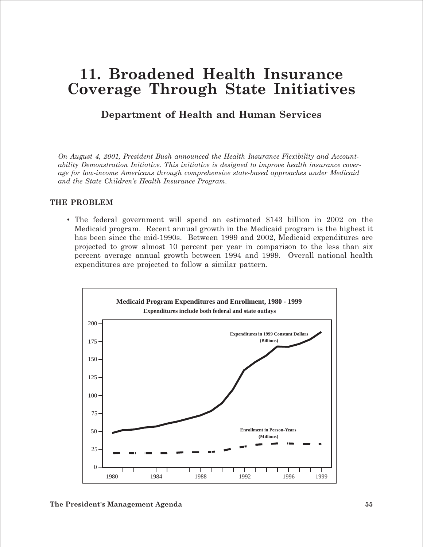### **11. Broadened Health Insurance Coverage Through State Initiatives**

### **Department of Health and Human Services**

*On August 4, 2001, President Bush announced the Health Insurance Flexibility and Accountability Demonstration Initiative. This initiative is designed to improve health insurance coverage for low-income Americans through comprehensive state-based approaches under Medicaid and the State Children's Health Insurance Program.* 

#### **THE PROBLEM**

• The federal government will spend an estimated \$143 billion in 2002 on the Medicaid program. Recent annual growth in the Medicaid program is the highest it has been since the mid-1990s. Between 1999 and 2002, Medicaid expenditures are projected to grow almost 10 percent per year in comparison to the less than six percent average annual growth between 1994 and 1999. Overall national health expenditures are projected to follow a similar pattern.

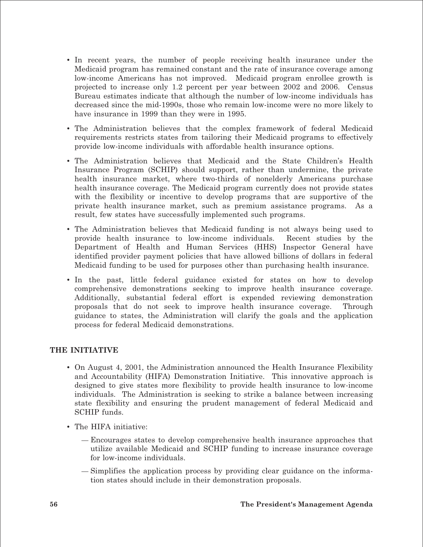- • In recent years, the number of people receiving health insurance under the Medicaid program has remained constant and the rate of insurance coverage among low-income Americans has not improved. Medicaid program enrollee growth is projected to increase only 1.2 percent per year between 2002 and 2006. Census Bureau estimates indicate that although the number of low-income individuals has decreased since the mid-1990s, those who remain low-income were no more likely to have insurance in 1999 than they were in 1995.
- • The Administration believes that the complex framework of federal Medicaid requirements restricts states from tailoring their Medicaid programs to effectively provide low-income individuals with affordable health insurance options.
- • The Administration believes that Medicaid and the State Children's Health Insurance Program (SCHIP) should support, rather than undermine, the private health insurance market, where two-thirds of nonelderly Americans purchase health insurance coverage. The Medicaid program currently does not provide states with the flexibility or incentive to develop programs that are supportive of the private health insurance market, such as premium assistance programs. As a result, few states have successfully implemented such programs.
- The Administration believes that Medicaid funding is not always being used to provide health insurance to low-income individuals. Recent studies by the Department of Health and Human Services (HHS) Inspector General have identified provider payment policies that have allowed billions of dollars in federal Medicaid funding to be used for purposes other than purchasing health insurance.
- In the past, little federal guidance existed for states on how to develop comprehensive demonstrations seeking to improve health insurance coverage. Additionally, substantial federal effort is expended reviewing demonstration proposals that do not seek to improve health insurance coverage. Through guidance to states, the Administration will clarify the goals and the application process for federal Medicaid demonstrations.

#### **THE INITIATIVE**

- On August 4, 2001, the Administration announced the Health Insurance Flexibility and Accountability (HIFA) Demonstration Initiative. This innovative approach is designed to give states more flexibility to provide health insurance to low-income individuals. The Administration is seeking to strike a balance between increasing state flexibility and ensuring the prudent management of federal Medicaid and SCHIP funds.
- The HIFA initiative:
	- Encourages states to develop comprehensive health insurance approaches that utilize available Medicaid and SCHIP funding to increase insurance coverage for low-income individuals.
	- Simplifies the application process by providing clear guidance on the information states should include in their demonstration proposals.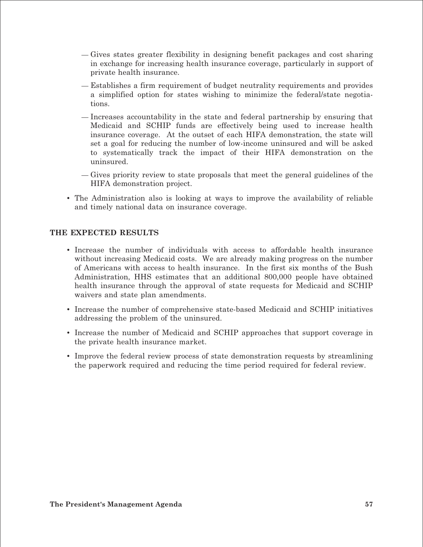- Gives states greater flexibility in designing benefit packages and cost sharing in exchange for increasing health insurance coverage, particularly in support of private health insurance.
- Establishes a firm requirement of budget neutrality requirements and provides a simplified option for states wishing to minimize the federal/state negotiations.
- Increases accountability in the state and federal partnership by ensuring that Medicaid and SCHIP funds are effectively being used to increase health insurance coverage. At the outset of each HIFA demonstration, the state will set a goal for reducing the number of low-income uninsured and will be asked to systematically track the impact of their HIFA demonstration on the uninsured.
- Gives priority review to state proposals that meet the general guidelines of the HIFA demonstration project.
- The Administration also is looking at ways to improve the availability of reliable and timely national data on insurance coverage.

#### **THE EXPECTED RESULTS**

- Increase the number of individuals with access to affordable health insurance without increasing Medicaid costs. We are already making progress on the number of Americans with access to health insurance. In the first six months of the Bush Administration, HHS estimates that an additional 800,000 people have obtained health insurance through the approval of state requests for Medicaid and SCHIP waivers and state plan amendments.
- • Increase the number of comprehensive state-based Medicaid and SCHIP initiatives addressing the problem of the uninsured.
- Increase the number of Medicaid and SCHIP approaches that support coverage in the private health insurance market.
- Improve the federal review process of state demonstration requests by streamlining the paperwork required and reducing the time period required for federal review.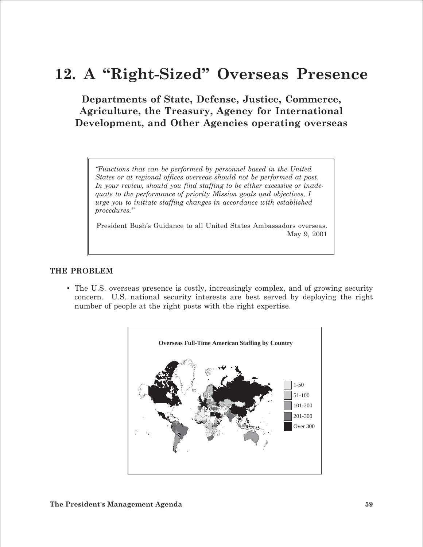## **12. A "Right-Sized" Overseas Presence**

**Departments of State, Defense, Justice, Commerce, Agriculture, the Treasury, Agency for International Development, and Other Agencies operating overseas**

*"Functions that can be performed by personnel based in the United States or at regional offices overseas should not be performed at post. In your review, should you find staffing to be either excessive or inadequate to the performance of priority Mission goals and objectives, I urge you to initiate staffing changes in accordance with established procedures."*

President Bush's Guidance to all United States Ambassadors overseas. May 9, 2001

#### **THE PROBLEM**

• The U.S. overseas presence is costly, increasingly complex, and of growing security concern. U.S. national security interests are best served by deploying the right number of people at the right posts with the right expertise.

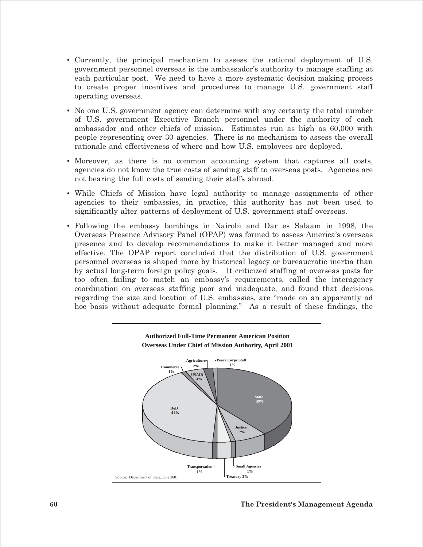- Currently, the principal mechanism to assess the rational deployment of U.S. government personnel overseas is the ambassador's authority to manage staffing at each particular post. We need to have a more systematic decision making process to create proper incentives and procedures to manage U.S. government staff operating overseas.
- No one U.S. government agency can determine with any certainty the total number of U.S. government Executive Branch personnel under the authority of each ambassador and other chiefs of mission. Estimates run as high as 60,000 with people representing over 30 agencies. There is no mechanism to assess the overall rationale and effectiveness of where and how U.S. employees are deployed.
- Moreover, as there is no common accounting system that captures all costs, agencies do not know the true costs of sending staff to overseas posts. Agencies are not bearing the full costs of sending their staffs abroad.
- While Chiefs of Mission have legal authority to manage assignments of other agencies to their embassies, in practice, this authority has not been used to significantly alter patterns of deployment of U.S. government staff overseas.
- Following the embassy bombings in Nairobi and Dar es Salaam in 1998, the Overseas Presence Advisory Panel (OPAP) was formed to assess America's overseas presence and to develop recommendations to make it better managed and more effective. The OPAP report concluded that the distribution of U.S. government personnel overseas is shaped more by historical legacy or bureaucratic inertia than by actual long-term foreign policy goals. It criticized staffing at overseas posts for too often failing to match an embassy's requirements, called the interagency coordination on overseas staffing poor and inadequate, and found that decisions regarding the size and location of U.S. embassies, are "made on an apparently ad hoc basis without adequate formal planning." As a result of these findings, the

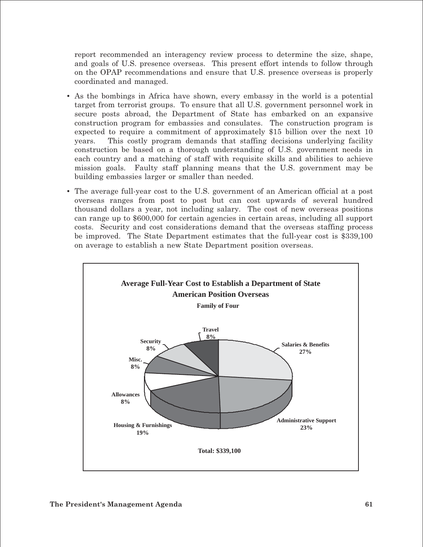report recommended an interagency review process to determine the size, shape, and goals of U.S. presence overseas. This present effort intends to follow through on the OPAP recommendations and ensure that U.S. presence overseas is properly coordinated and managed.

- As the bombings in Africa have shown, every embassy in the world is a potential target from terrorist groups. To ensure that all U.S. government personnel work in secure posts abroad, the Department of State has embarked on an expansive construction program for embassies and consulates. The construction program is expected to require a commitment of approximately \$15 billion over the next 10 years. This costly program demands that staffing decisions underlying facility construction be based on a thorough understanding of U.S. government needs in each country and a matching of staff with requisite skills and abilities to achieve mission goals. Faulty staff planning means that the U.S. government may be building embassies larger or smaller than needed.
- The average full-year cost to the U.S. government of an American official at a post overseas ranges from post to post but can cost upwards of several hundred thousand dollars a year, not including salary. The cost of new overseas positions can range up to \$600,000 for certain agencies in certain areas, including all support costs. Security and cost considerations demand that the overseas staffing process be improved. The State Department estimates that the full-year cost is \$339,100 on average to establish a new State Department position overseas.

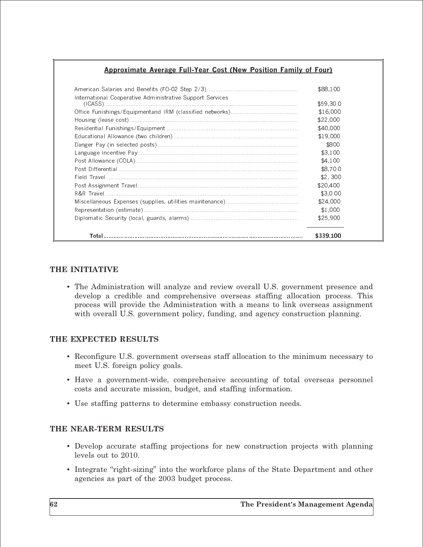#### Approximate Average Full-Year Cost (New Position Family of Four)

|                                                           | \$88.100  |
|-----------------------------------------------------------|-----------|
| International Cooperative Administrative Support Services | \$59.300  |
|                                                           | \$16,000  |
|                                                           | \$22,000  |
|                                                           | \$40,000  |
|                                                           | \$19.000  |
|                                                           | \$800     |
|                                                           | \$3.100   |
|                                                           | \$4.100   |
|                                                           | \$8,700   |
|                                                           | \$2.300   |
|                                                           | \$20.400  |
|                                                           | \$3.000   |
|                                                           | \$24,000  |
|                                                           | \$1.000   |
|                                                           | \$25,900  |
|                                                           | \$339.100 |

#### THE INITIATIVE

• The Administration will analyze and review overall U.S. government presence and develop a credible and comprehensive overseas staffing allocation process. This process will provide the Administration with a means to link overseas assignment with overall U.S. government policy, funding, and agency construction planning.

#### THE EXPECTED RESULTS

- Reconfigure U.S. government overseas staff allocation to the minimum necessary to meet U.S. foreign policy goals.
- Have a government-wide, comprehensive accounting of total overseas personnel costs and accurate mission, budget, and staffing information.
- Use staffing patterns to determine embassy construction needs.

#### THE NEAR-TERM RESULTS

- Develop accurate staffing projections for new construction projects with planning levels out to 2010.
- Integrate "right-sizing" into the workforce plans of the State Department and other agencies as part of the 2003 budget process.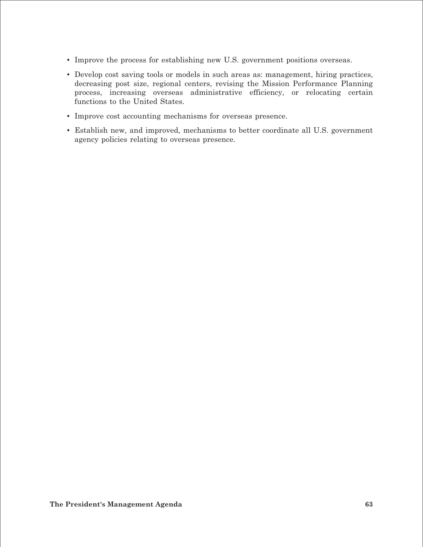- Improve the process for establishing new U.S. government positions overseas.
- Develop cost saving tools or models in such areas as: management, hiring practices, decreasing post size, regional centers, revising the Mission Performance Planning process, increasing overseas administrative efficiency, or relocating certain functions to the United States.
- Improve cost accounting mechanisms for overseas presence.
- • Establish new, and improved, mechanisms to better coordinate all U.S. government agency policies relating to overseas presence.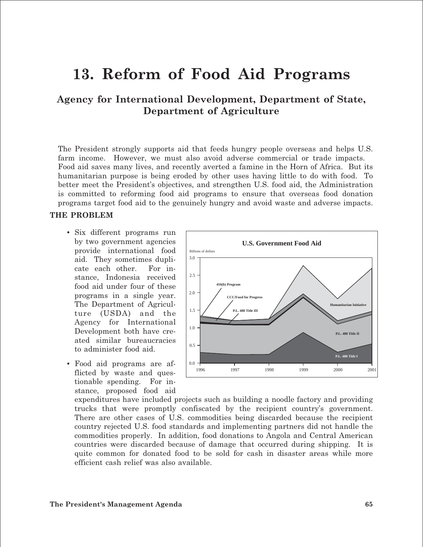### **13. Reform of Food Aid Programs**

**Agency for International Development, Department of State, Department of Agriculture** 

The President strongly supports aid that feeds hungry people overseas and helps U.S. farm income. However, we must also avoid adverse commercial or trade impacts. Food aid saves many lives, and recently averted a famine in the Horn of Africa. But its humanitarian purpose is being eroded by other uses having little to do with food. To better meet the President's objectives, and strengthen U.S. food aid, the Administration is committed to reforming food aid programs to ensure that overseas food donation programs target food aid to the genuinely hungry and avoid waste and adverse impacts.

#### **THE PROBLEM**

- Six different programs run by two government agencies provide international food aid. They sometimes duplicate each other. For instance, Indonesia received food aid under four of these programs in a single year. The Department of Agriculture (USDA) and the Agency for International Development both have created similar bureaucracies to administer food aid.
- Food aid programs are afflicted by waste and questionable spending. For instance, proposed food aid



expenditures have included projects such as building a noodle factory and providing trucks that were promptly confiscated by the recipient country's government. There are other cases of U.S. commodities being discarded because the recipient country rejected U.S. food standards and implementing partners did not handle the commodities properly. In addition, food donations to Angola and Central American countries were discarded because of damage that occurred during shipping. It is quite common for donated food to be sold for cash in disaster areas while more efficient cash relief was also available.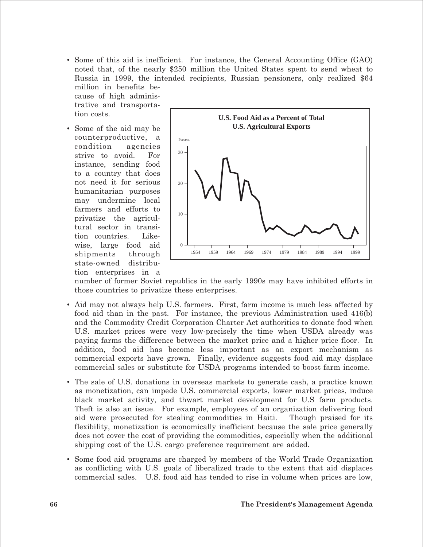• Some of this aid is inefficient. For instance, the General Accounting Office (GAO) noted that, of the nearly \$250 million the United States spent to send wheat to Russia in 1999, the intended recipients, Russian pensioners, only realized \$64 million in benefits be-

cause of high administrative and transportation costs.

• Some of the aid may be counterproductive, a condition agencies strive to avoid. For instance, sending food to a country that does not need it for serious humanitarian purposes may undermine local farmers and efforts to privatize the agricultural sector in transition countries. Likewise, large food aid shipments through state-owned distribution enterprises in a



number of former Soviet republics in the early 1990s may have inhibited efforts in those countries to privatize these enterprises.

- Aid may not always help U.S. farmers. First, farm income is much less affected by food aid than in the past. For instance, the previous Administration used 416(b) and the Commodity Credit Corporation Charter Act authorities to donate food when U.S. market prices were very low-precisely the time when USDA already was paying farms the difference between the market price and a higher price floor. In addition, food aid has become less important as an export mechanism as commercial exports have grown. Finally, evidence suggests food aid may displace commercial sales or substitute for USDA programs intended to boost farm income.
- The sale of U.S. donations in overseas markets to generate cash, a practice known as monetization, can impede U.S. commercial exports, lower market prices, induce black market activity, and thwart market development for U.S farm products. Theft is also an issue. For example, employees of an organization delivering food aid were prosecuted for stealing commodities in Haiti. Though praised for its flexibility, monetization is economically inefficient because the sale price generally does not cover the cost of providing the commodities, especially when the additional shipping cost of the U.S. cargo preference requirement are added.
- Some food aid programs are charged by members of the World Trade Organization as conflicting with U.S. goals of liberalized trade to the extent that aid displaces commercial sales. U.S. food aid has tended to rise in volume when prices are low,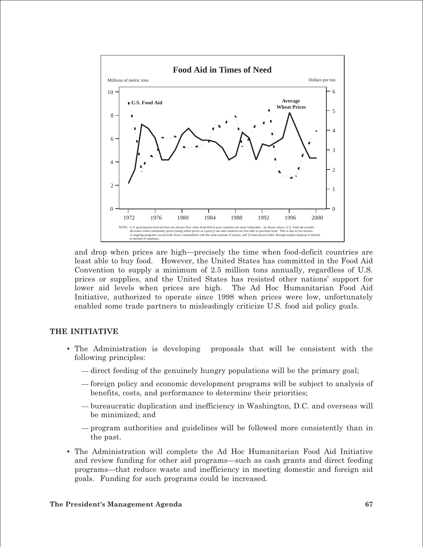

and drop when prices are high—precisely the time when food-deficit countries are least able to buy food. However, the United States has committed in the Food Aid Convention to supply a minimum of 2.5 million tons annually, regardless of U.S. prices or supplies, and the United States has resisted other nations' support for lower aid levels when prices are high. The Ad Hoc Humanitarian Food Aid Initiative, authorized to operate since 1998 when prices were low, unfortunately enabled some trade partners to misleadingly criticize U.S. food aid policy goals.

#### **THE INITIATIVE**

- The Administration is developing proposals that will be consistent with the following principles:
	- direct feeding of the genuinely hungry populations will be the primary goal;
	- foreign policy and economic development programs will be subject to analysis of benefits, costs, and performance to determine their priorities;
	- bureaucratic duplication and inefficiency in Washington, D.C. and overseas will be minimized; and
	- program authorities and guidelines will be followed more consistently than in the past.
- The Administration will complete the Ad Hoc Humanitarian Food Aid Initiative and review funding for other aid programs—such as cash grants and direct feeding programs—that reduce waste and inefficiency in meeting domestic and foreign aid goals. Funding for such programs could be increased.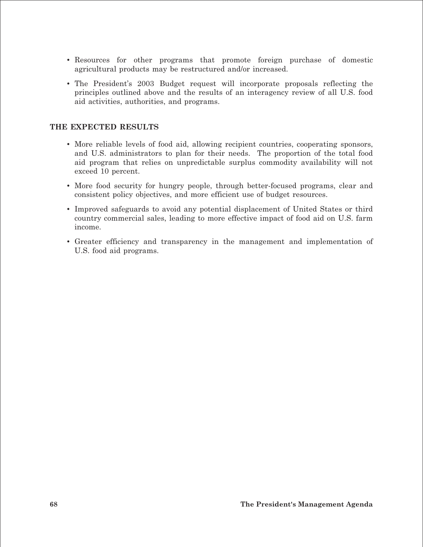- Resources for other programs that promote foreign purchase of domestic agricultural products may be restructured and/or increased.
- The President's 2003 Budget request will incorporate proposals reflecting the principles outlined above and the results of an interagency review of all U.S. food aid activities, authorities, and programs.

#### **THE EXPECTED RESULTS**

- More reliable levels of food aid, allowing recipient countries, cooperating sponsors, and U.S. administrators to plan for their needs. The proportion of the total food aid program that relies on unpredictable surplus commodity availability will not exceed 10 percent.
- More food security for hungry people, through better-focused programs, clear and consistent policy objectives, and more efficient use of budget resources.
- Improved safeguards to avoid any potential displacement of United States or third country commercial sales, leading to more effective impact of food aid on U.S. farm income.
- • Greater efficiency and transparency in the management and implementation of U.S. food aid programs.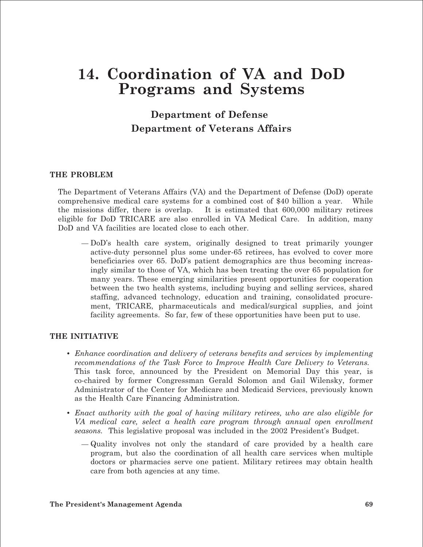### **14. Coordination of VA and DoD Programs and Systems**

### **Department of Defense Department of Veterans Affairs**

#### **THE PROBLEM**

The Department of Veterans Affairs (VA) and the Department of Defense (DoD) operate comprehensive medical care systems for a combined cost of \$40 billion a year. While the missions differ, there is overlap. It is estimated that 600,000 military retirees eligible for DoD TRICARE are also enrolled in VA Medical Care. In addition, many DoD and VA facilities are located close to each other.

— DoD's health care system, originally designed to treat primarily younger active-duty personnel plus some under-65 retirees, has evolved to cover more beneficiaries over 65. DoD's patient demographics are thus becoming increasingly similar to those of VA, which has been treating the over 65 population for many years. These emerging similarities present opportunities for cooperation between the two health systems, including buying and selling services, shared staffing, advanced technology, education and training, consolidated procurement, TRICARE, pharmaceuticals and medical/surgical supplies, and joint facility agreements. So far, few of these opportunities have been put to use.

#### **THE INITIATIVE**

- • *Enhance coordination and delivery of veterans benefits and services by implementing recommendations of the Task Force to Improve Health Care Delivery to Veterans.*  This task force, announced by the President on Memorial Day this year, is co-chaired by former Congressman Gerald Solomon and Gail Wilensky, former Administrator of the Center for Medicare and Medicaid Services, previously known as the Health Care Financing Administration.
- • *Enact authority with the goal of having military retirees, who are also eligible for VA medical care, select a health care program through annual open enrollment seasons.* This legislative proposal was included in the 2002 President's Budget.
	- Quality involves not only the standard of care provided by a health care program, but also the coordination of all health care services when multiple doctors or pharmacies serve one patient. Military retirees may obtain health care from both agencies at any time.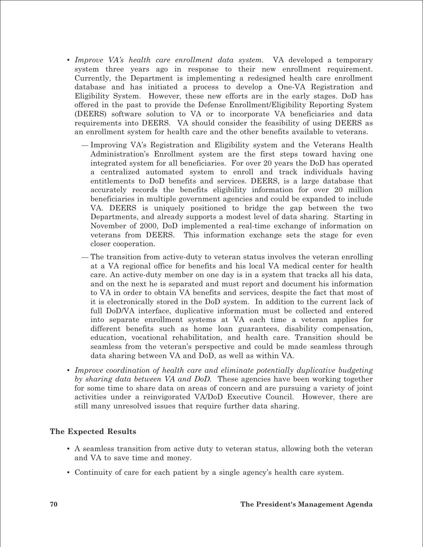- *Improve VA's health care enrollment data system.* VA developed a temporary system three years ago in response to their new enrollment requirement. Currently, the Department is implementing a redesigned health care enrollment database and has initiated a process to develop a One-VA Registration and Eligibility System. However, these new efforts are in the early stages. DoD has offered in the past to provide the Defense Enrollment/Eligibility Reporting System (DEERS) software solution to VA or to incorporate VA beneficiaries and data requirements into DEERS. VA should consider the feasibility of using DEERS as an enrollment system for health care and the other benefits available to veterans.
	- Improving VA's Registration and Eligibility system and the Veterans Health Administration's Enrollment system are the first steps toward having one integrated system for all beneficiaries. For over 20 years the DoD has operated a centralized automated system to enroll and track individuals having entitlements to DoD benefits and services. DEERS, is a large database that accurately records the benefits eligibility information for over 20 million beneficiaries in multiple government agencies and could be expanded to include VA. DEERS is uniquely positioned to bridge the gap between the two Departments, and already supports a modest level of data sharing. Starting in November of 2000, DoD implemented a real-time exchange of information on veterans from DEERS. This information exchange sets the stage for even closer cooperation.
	- The transition from active-duty to veteran status involves the veteran enrolling at a VA regional office for benefits and his local VA medical center for health care. An active-duty member on one day is in a system that tracks all his data, and on the next he is separated and must report and document his information to VA in order to obtain VA benefits and services, despite the fact that most of it is electronically stored in the DoD system. In addition to the current lack of full DoD/VA interface, duplicative information must be collected and entered into separate enrollment systems at VA each time a veteran applies for different benefits such as home loan guarantees, disability compensation, education, vocational rehabilitation, and health care. Transition should be seamless from the veteran's perspective and could be made seamless through data sharing between VA and DoD, as well as within VA.
- • *Improve coordination of health care and eliminate potentially duplicative budgeting by sharing data between VA and DoD.* These agencies have been working together for some time to share data on areas of concern and are pursuing a variety of joint activities under a reinvigorated VA/DoD Executive Council. However, there are still many unresolved issues that require further data sharing.

#### **The Expected Results**

- • A seamless transition from active duty to veteran status, allowing both the veteran and VA to save time and money.
- Continuity of care for each patient by a single agency's health care system.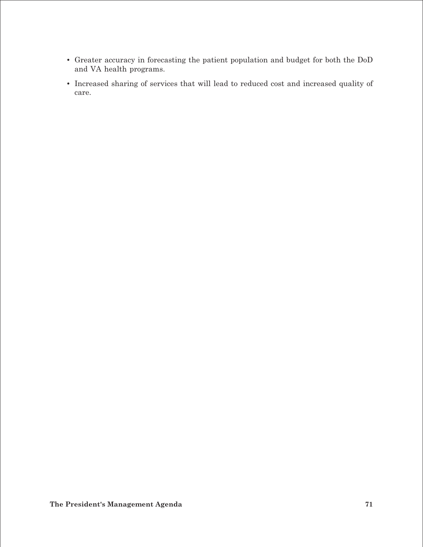- • Greater accuracy in forecasting the patient population and budget for both the DoD and VA health programs.
- • Increased sharing of services that will lead to reduced cost and increased quality of care.